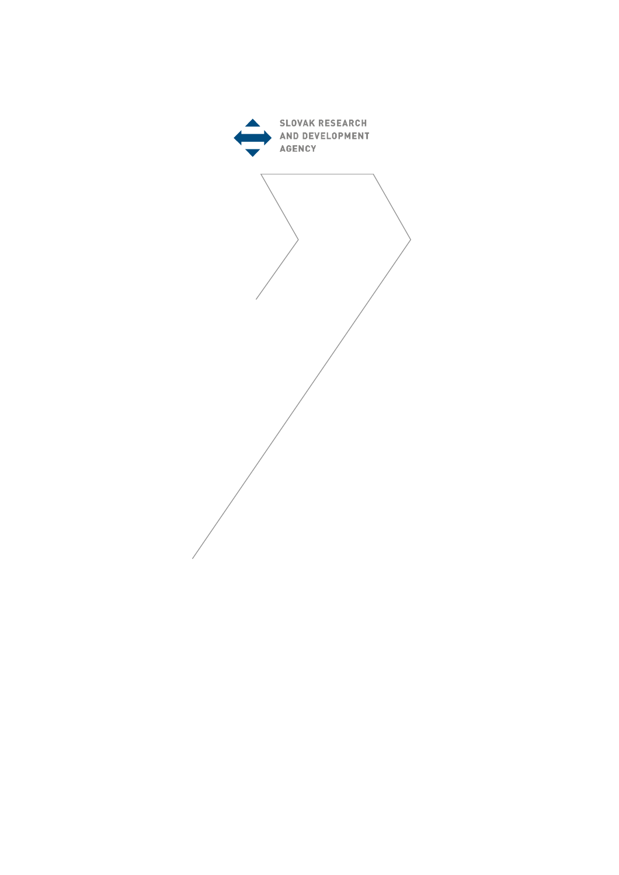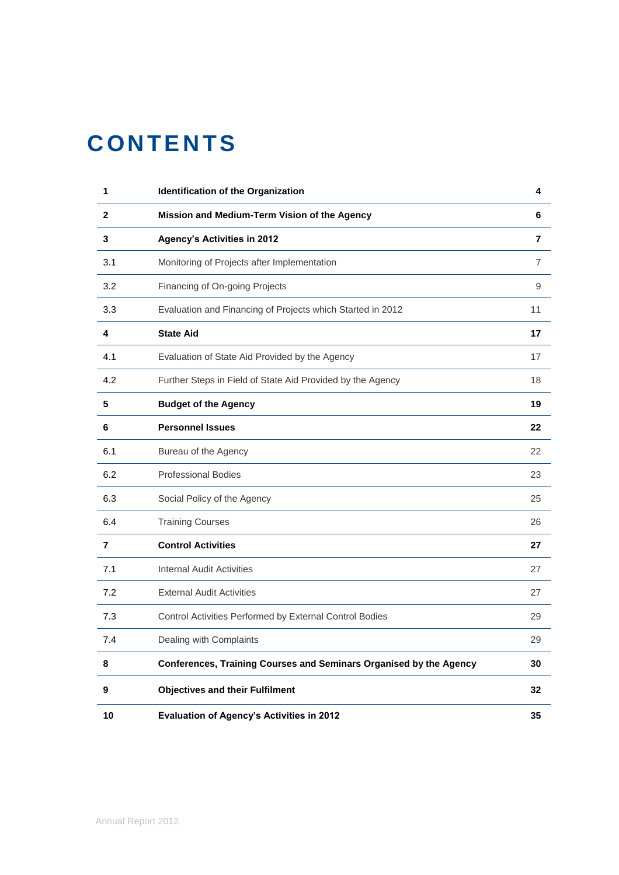# **CONT ENTS**

| 1              | <b>Identification of the Organization</b>                          | 4              |
|----------------|--------------------------------------------------------------------|----------------|
| $\mathbf{2}$   | Mission and Medium-Term Vision of the Agency                       | 6              |
| 3              | <b>Agency's Activities in 2012</b>                                 | 7              |
| 3.1            | Monitoring of Projects after Implementation                        | $\overline{7}$ |
| 3.2            | Financing of On-going Projects                                     | 9              |
| 3.3            | Evaluation and Financing of Projects which Started in 2012         | 11             |
| 4              | <b>State Aid</b>                                                   | 17             |
| 4.1            | Evaluation of State Aid Provided by the Agency                     | 17             |
| 4.2            | Further Steps in Field of State Aid Provided by the Agency         | 18             |
| 5              | <b>Budget of the Agency</b>                                        | 19             |
| 6              | <b>Personnel Issues</b>                                            | 22             |
| 6.1            | Bureau of the Agency                                               | 22             |
| 6.2            | <b>Professional Bodies</b>                                         | 23             |
| 6.3            | Social Policy of the Agency                                        | 25             |
| 6.4            | <b>Training Courses</b>                                            | 26             |
| $\overline{7}$ | <b>Control Activities</b>                                          | 27             |
| 7.1            | <b>Internal Audit Activities</b>                                   | 27             |
| 7.2            | <b>External Audit Activities</b>                                   | 27             |
| 7.3            | Control Activities Performed by External Control Bodies            | 29             |
| 7.4            | Dealing with Complaints                                            | 29             |
| 8              | Conferences, Training Courses and Seminars Organised by the Agency | 30             |
| 9              | <b>Objectives and their Fulfilment</b>                             | 32             |
| 10             | Evaluation of Agency's Activities in 2012                          | 35             |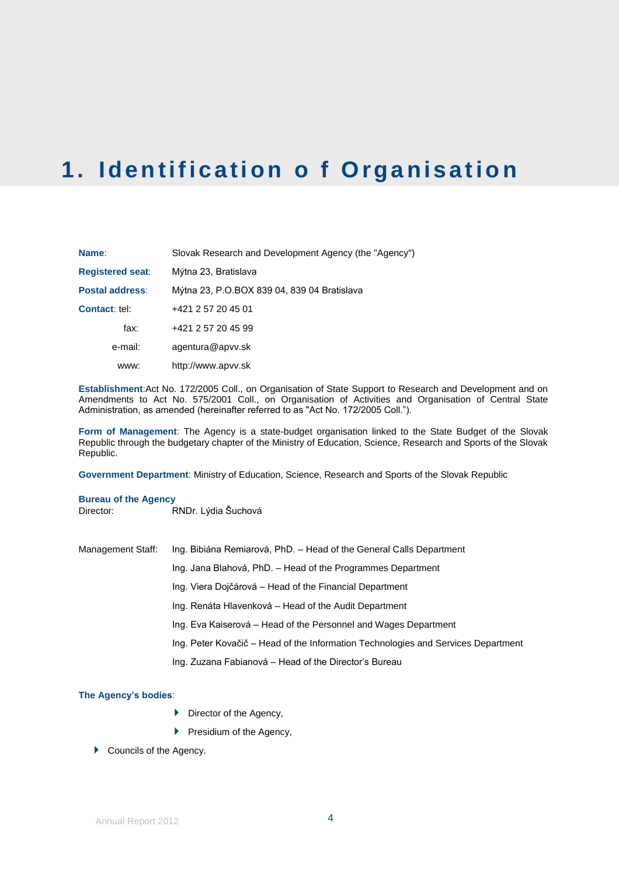# **1. Identification o f Organisa tion**

| Name:                   | Slovak Research and Development Agency (the "Agency") |  |
|-------------------------|-------------------------------------------------------|--|
| <b>Registered seat:</b> | Mýtna 23, Bratislava                                  |  |
| Postal address:         | Mýtna 23, P.O.BOX 839 04, 839 04 Bratislava           |  |
| <b>Contact: tel:</b>    | +421 2 57 20 45 01                                    |  |
| fax:                    | +421 2 57 20 45 99                                    |  |
| e-mail:                 | agentura@apvv.sk                                      |  |
| www:                    | http://www.apvv.sk                                    |  |

**Establishment**:Act No. 172/2005 Coll., on Organisation of State Support to Research and Development and on Amendments to Act No. 575/2001 Coll., on Organisation of Activities and Organisation of Central State Administration, as amended (hereinafter referred to as "Act No. 172/2005 Coll.").

**Form of Management**: The Agency is a state-budget organisation linked to the State Budget of the Slovak Republic through the budgetary chapter of the Ministry of Education, Science, Research and Sports of the Slovak Republic.

**Government Department**: Ministry of Education, Science, Research and Sports of the Slovak Republic

## **Bureau of the Agency**

RNDr. Lýdia Šuchová

- Management Staff: Ing. Bibiána Remiarová, PhD. Head of the General Calls Department Ing. Jana Blahová, PhD. – Head of the Programmes Department Ing. Viera Dojčárová – Head of the Financial Department Ing. Renáta Hlavenková – Head of the Audit Department
	- Ing. Eva Kaiserová Head of the Personnel and Wages Department
	- Ing. Peter Kovačič Head of the Information Technologies and Services Department
	- Ing. Zuzana Fabianová Head of the Director's Bureau

#### **The Agency's bodies**:

- Director of the Agency,
- $\blacktriangleright$  Presidium of the Agency,
- Councils of the Agency.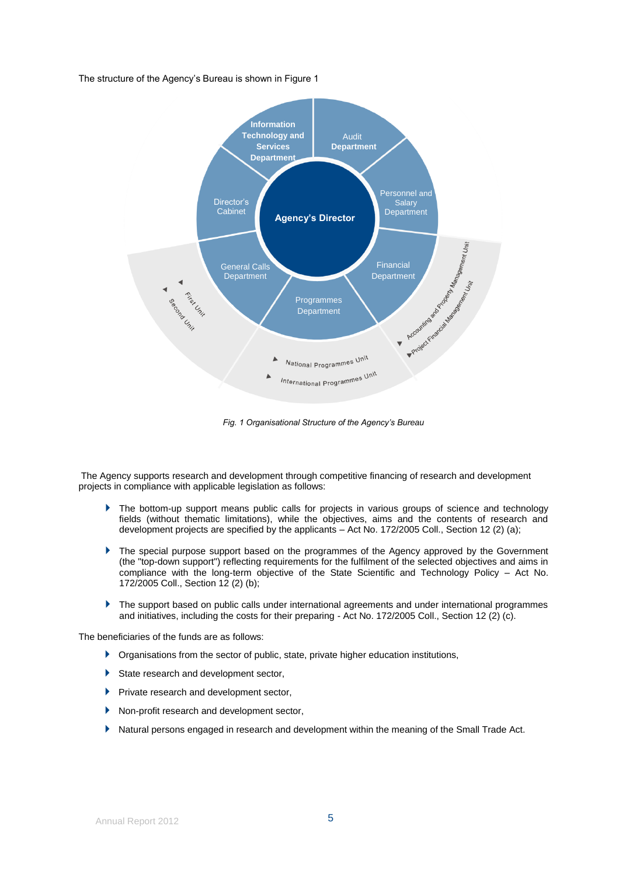The structure of the Agency's Bureau is shown in Figure 1



*Fig. 1 Organisational Structure of the Agency's Bureau*

The Agency supports research and development through competitive financing of research and development projects in compliance with applicable legislation as follows:

- The bottom-up support means public calls for projects in various groups of science and technology fields (without thematic limitations), while the objectives, aims and the contents of research and development projects are specified by the applicants – Act No. 172/2005 Coll., Section 12 (2) (a);
- The special purpose support based on the programmes of the Agency approved by the Government (the "top-down support") reflecting requirements for the fulfilment of the selected objectives and aims in compliance with the long-term objective of the State Scientific and Technology Policy – Act No. 172/2005 Coll., Section 12 (2) (b);
- The support based on public calls under international agreements and under international programmes and initiatives, including the costs for their preparing - Act No. 172/2005 Coll., Section 12 (2) (c).

The beneficiaries of the funds are as follows:

- Organisations from the sector of public, state, private higher education institutions,
- State research and development sector,
- $\blacktriangleright$  Private research and development sector,
- Non-profit research and development sector,
- Natural persons engaged in research and development within the meaning of the Small Trade Act.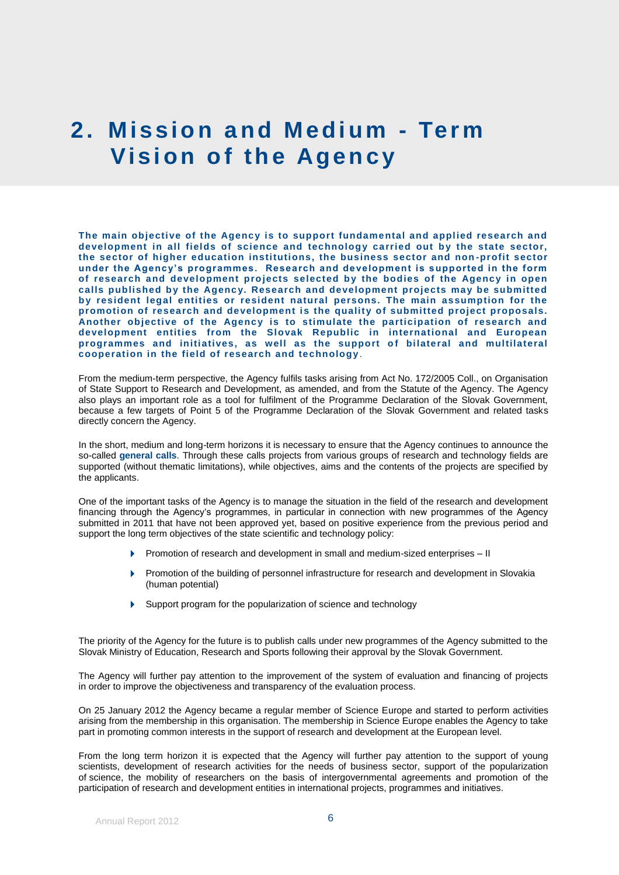# **2. Mission and Medi um - Ter m Vision of the Agency**

**The main objective of the Agency is to support fundamental and applied research and development in all fields of science and technology carried out by the state sector,**  the sector of higher education institutions, the business sector and non-profit sector **under the Agency's programmes. Research and development is supported in the form of research and development projects selected by the bodies of the Agency in open calls published by the Agency. Research and development projects may be submitted by resident legal entities or resident natural persons. The main assumption for the promotion of research and development i s the quality of submitted project proposals. Another objective of the Agency is to stimulate the participation of research and development entities from the Slovak Republic in international and European programmes and initiatives, as well as the support o f bilateral and multilateral cooperation in the field of research and technology**.

From the medium-term perspective, the Agency fulfils tasks arising from Act No. 172/2005 Coll., on Organisation of State Support to Research and Development, as amended, and from the Statute of the Agency. The Agency also plays an important role as a tool for fulfilment of the Programme Declaration of the Slovak Government, because a few targets of Point 5 of the Programme Declaration of the Slovak Government and related tasks directly concern the Agency.

In the short, medium and long-term horizons it is necessary to ensure that the Agency continues to announce the so-called **general calls**. Through these calls projects from various groups of research and technology fields are supported (without thematic limitations), while objectives, aims and the contents of the projects are specified by the applicants.

One of the important tasks of the Agency is to manage the situation in the field of the research and development financing through the Agency's programmes, in particular in connection with new programmes of the Agency submitted in 2011 that have not been approved yet, based on positive experience from the previous period and support the long term objectives of the state scientific and technology policy:

- ▶ Promotion of research and development in small and medium-sized enterprises II
- Promotion of the building of personnel infrastructure for research and development in Slovakia (human potential)
- Support program for the popularization of science and technology

The priority of the Agency for the future is to publish calls under new programmes of the Agency submitted to the Slovak Ministry of Education, Research and Sports following their approval by the Slovak Government.

The Agency will further pay attention to the improvement of the system of evaluation and financing of projects in order to improve the objectiveness and transparency of the evaluation process.

On 25 January 2012 the Agency became a regular member of Science Europe and started to perform activities arising from the membership in this organisation. The membership in Science Europe enables the Agency to take part in promoting common interests in the support of research and development at the European level.

From the long term horizon it is expected that the Agency will further pay attention to the support of young scientists, development of research activities for the needs of business sector, support of the popularization of science, the mobility of researchers on the basis of intergovernmental agreements and promotion of the participation of research and development entities in international projects, programmes and initiatives.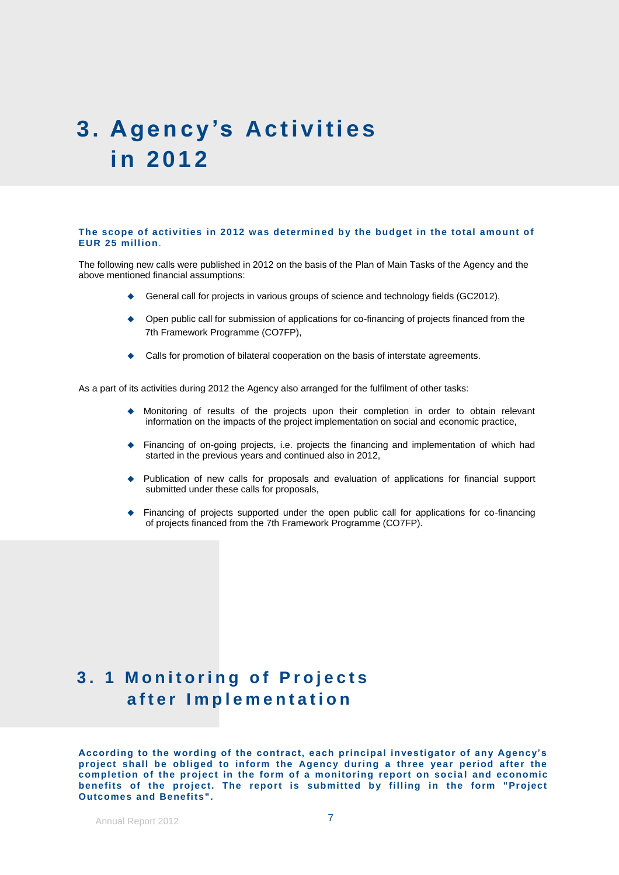# **3. Agenc y's Activities in 2012**

#### **The scope of activities in 2012 was determined by the budget in the total amount of EUR 25 million**.

The following new calls were published in 2012 on the basis of the Plan of Main Tasks of the Agency and the above mentioned financial assumptions:

- ◆ General call for projects in various groups of science and technology fields (GC2012),
- Open public call for submission of applications for co-financing of projects financed from the 7th Framework Programme (CO7FP),
- Calls for promotion of bilateral cooperation on the basis of interstate agreements.

As a part of its activities during 2012 the Agency also arranged for the fulfilment of other tasks:

- Monitoring of results of the projects upon their completion in order to obtain relevant information on the impacts of the project implementation on social and economic practice,
- Financing of on-going projects, i.e. projects the financing and implementation of which had started in the previous years and continued also in 2012,
- Publication of new calls for proposals and evaluation of applications for financial support submitted under these calls for proposals,
- Financing of projects supported under the open public call for applications for co-financing of projects financed from the 7th Framework Programme (CO7FP).

## **3. 1 Monitoring of Projects a f t e r I m p l e m e n t a t i o n**

**According to the wording of the contract, each principal investigator of any Agency's project shall be obliged to inform the Agency during a three year period after the completion of the project in the form of a monitoring report on socia l and economic benefits of the project. The report is submitted by filling in the form "Project Outcomes and Benefits".**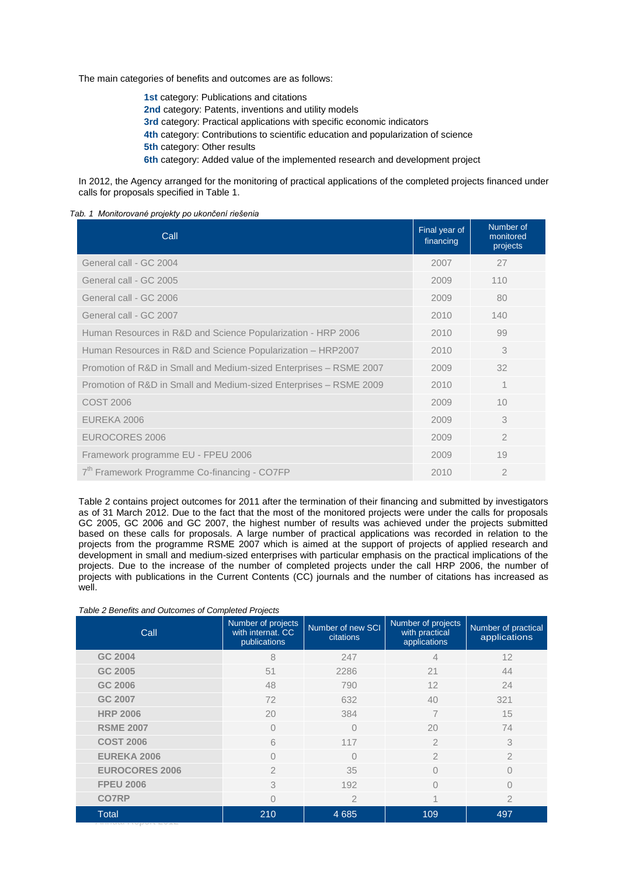The main categories of benefits and outcomes are as follows:

**1st** category: Publications and citations **2nd** category: Patents, inventions and utility models **3rd** category: Practical applications with specific economic indicators **4th category: Contributions to scientific education and popularization of science 5th category: Other results 6th** category: Added value of the implemented research and development project

In 2012, the Agency arranged for the monitoring of practical applications of the completed projects financed under calls for proposals specified in Table 1.

#### *Tab. 1 Monitorované projekty po ukončení riešenia*

| Call                                                               | Final year of<br>financing | Number of<br>monitored<br>projects |
|--------------------------------------------------------------------|----------------------------|------------------------------------|
| General call - GC 2004                                             | 2007                       | 27                                 |
| General call - GC 2005                                             | 2009                       | 110                                |
| General call - GC 2006                                             | 2009                       | 80                                 |
| General call - GC 2007                                             | 2010                       | 140                                |
| Human Resources in R&D and Science Popularization - HRP 2006       | 2010                       | 99                                 |
| Human Resources in R&D and Science Popularization – HRP2007        | 2010                       | 3                                  |
| Promotion of R&D in Small and Medium-sized Enterprises - RSME 2007 | 2009                       | 32                                 |
| Promotion of R&D in Small and Medium-sized Enterprises - RSME 2009 | 2010                       |                                    |
| <b>COST 2006</b>                                                   | 2009                       | 10                                 |
| EUREKA 2006                                                        | 2009                       | 3                                  |
| <b>EUROCORES 2006</b>                                              | 2009                       | $\overline{2}$                     |
| Framework programme EU - FPEU 2006                                 | 2009                       | 19                                 |
| 7th Framework Programme Co-financing - CO7FP                       | 2010                       | $\overline{2}$                     |

Table 2 contains project outcomes for 2011 after the termination of their financing and submitted by investigators as of 31 March 2012. Due to the fact that the most of the monitored projects were under the calls for proposals GC 2005, GC 2006 and GC 2007, the highest number of results was achieved under the projects submitted based on these calls for proposals. A large number of practical applications was recorded in relation to the projects from the programme RSME 2007 which is aimed at the support of projects of applied research and development in small and medium-sized enterprises with particular emphasis on the practical implications of the projects. Due to the increase of the number of completed projects under the call HRP 2006, the number of projects with publications in the Current Contents (CC) journals and the number of citations has increased as well.

#### *Table 2 Benefits and Outcomes of Completed Projects*

| Call                                  | Number of projects<br>with internat. CC<br>publications | Number of new SCI<br>citations | Number of projects<br>with practical<br>applications | Number of practical<br>applications |
|---------------------------------------|---------------------------------------------------------|--------------------------------|------------------------------------------------------|-------------------------------------|
| GC 2004                               | 8                                                       | 247                            | 4                                                    | 12                                  |
| GC 2005                               | 51                                                      | 2286                           | 21                                                   | 44                                  |
| GC 2006                               | 48                                                      | 790                            | 12                                                   | 24                                  |
| GC 2007                               | 72                                                      | 632                            | 40                                                   | 321                                 |
| <b>HRP 2006</b>                       | 20                                                      | 384                            |                                                      | 15                                  |
| <b>RSME 2007</b>                      | $\Omega$                                                | $\Omega$                       | 20                                                   | 74                                  |
| <b>COST 2006</b>                      | 6                                                       | 117                            | $\overline{2}$                                       | 3                                   |
| <b>EUREKA 2006</b>                    | $\Omega$                                                | $\Omega$                       | $\overline{2}$                                       | $\overline{2}$                      |
| <b>EUROCORES 2006</b>                 | $\overline{2}$                                          | 35                             | $\cap$                                               | $\cap$                              |
| <b>FPEU 2006</b>                      | 3                                                       | 192                            | $\Omega$                                             | $\bigcap$                           |
| <b>CO7RP</b>                          | $\Omega$                                                | $\overline{2}$                 |                                                      | $\overline{2}$                      |
| <b>Total</b><br>NUTRAL IN PORT AT THE | 210                                                     | 4 6 8 5                        | 109                                                  | 497                                 |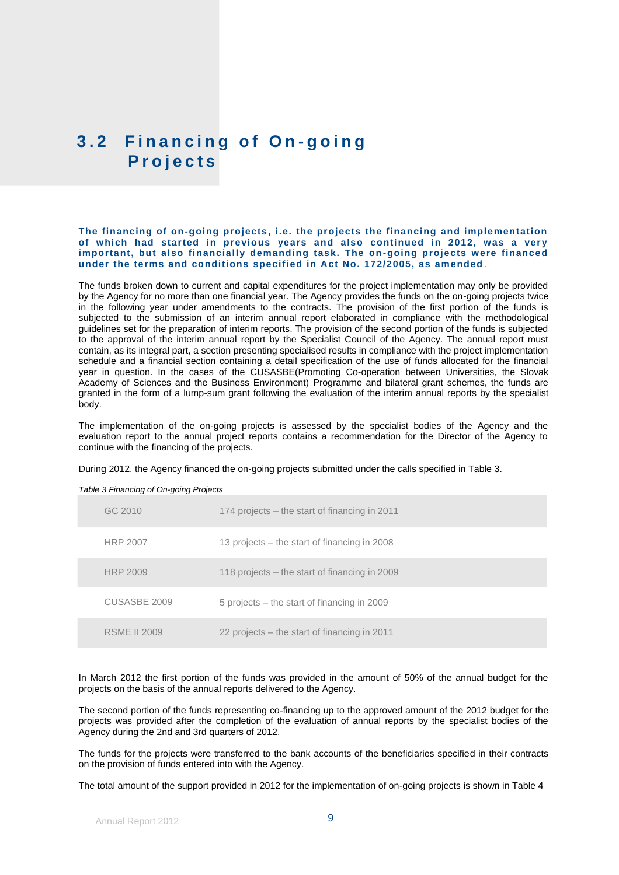## **3 . 2 F i n a n c i n g o f O n - g o i n g P r o j e c t s**

**The financing of on-going projects, i.e. the projects the financing and implementation**  of which had started in previous years and also continued in 2012, was a very **important, but also financially demanding task. The on -going projects were financed under the terms and conditions specified in Act No. 172/2005, as amended** .

The funds broken down to current and capital expenditures for the project implementation may only be provided by the Agency for no more than one financial year. The Agency provides the funds on the on-going projects twice in the following year under amendments to the contracts. The provision of the first portion of the funds is subjected to the submission of an interim annual report elaborated in compliance with the methodological guidelines set for the preparation of interim reports. The provision of the second portion of the funds is subjected to the approval of the interim annual report by the Specialist Council of the Agency. The annual report must contain, as its integral part, a section presenting specialised results in compliance with the project implementation schedule and a financial section containing a detail specification of the use of funds allocated for the financial year in question. In the cases of the CUSASBE(Promoting Co-operation between Universities, the Slovak Academy of Sciences and the Business Environment) Programme and bilateral grant schemes, the funds are granted in the form of a lump-sum grant following the evaluation of the interim annual reports by the specialist body.

The implementation of the on-going projects is assessed by the specialist bodies of the Agency and the evaluation report to the annual project reports contains a recommendation for the Director of the Agency to continue with the financing of the projects.

During 2012, the Agency financed the on-going projects submitted under the calls specified in Table 3.

| GC 2010             | 174 projects – the start of financing in 2011 |
|---------------------|-----------------------------------------------|
| <b>HRP 2007</b>     | 13 projects – the start of financing in 2008  |
| <b>HRP 2009</b>     | 118 projects – the start of financing in 2009 |
| CUSASBE 2009        | 5 projects – the start of financing in 2009   |
| <b>RSME II 2009</b> | 22 projects – the start of financing in 2011  |

*Table 3 Financing of On-going Projects*

In March 2012 the first portion of the funds was provided in the amount of 50% of the annual budget for the projects on the basis of the annual reports delivered to the Agency.

The second portion of the funds representing co-financing up to the approved amount of the 2012 budget for the projects was provided after the completion of the evaluation of annual reports by the specialist bodies of the Agency during the 2nd and 3rd quarters of 2012.

The funds for the projects were transferred to the bank accounts of the beneficiaries specified in their contracts on the provision of funds entered into with the Agency.

The total amount of the support provided in 2012 for the implementation of on-going projects is shown in Table 4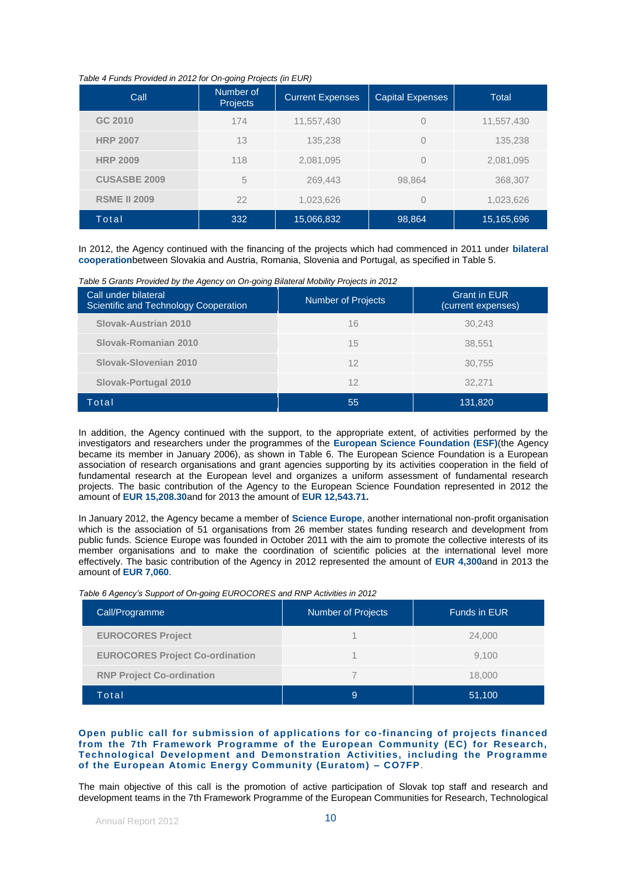#### *Table 4 Funds Provided in 2012 for On-going Projects (in EUR)*

| Call                | Number of<br><b>Projects</b> | <b>Current Expenses</b> | <b>Capital Expenses</b> | <b>Total</b> |
|---------------------|------------------------------|-------------------------|-------------------------|--------------|
| GC 2010             | 174                          | 11,557,430              | $\overline{0}$          | 11,557,430   |
| <b>HRP 2007</b>     | 13                           | 135,238                 | $\Omega$                | 135,238      |
| <b>HRP 2009</b>     | 118                          | 2,081,095               | $\overline{0}$          | 2,081,095    |
| <b>CUSASBE 2009</b> | 5                            | 269,443                 | 98,864                  | 368,307      |
| <b>RSME II 2009</b> | 22                           | 1,023,626               | $\Omega$                | 1,023,626    |
| Total               | 332                          | 15,066,832              | 98,864                  | 15,165,696   |

In 2012, the Agency continued with the financing of the projects which had commenced in 2011 under **bilateral cooperation**between Slovakia and Austria, Romania, Slovenia and Portugal, as specified in Table 5.

*Table 5 Grants Provided by the Agency on On-going Bilateral Mobility Projects in 2012*

| Call under bilateral<br>Scientific and Technology Cooperation | <b>Number of Projects</b> | <b>Grant in EUR</b><br>(current expenses) |
|---------------------------------------------------------------|---------------------------|-------------------------------------------|
| Slovak-Austrian 2010                                          | 16                        | 30,243                                    |
| Slovak-Romanian 2010                                          | 15                        | 38,551                                    |
| Slovak-Slovenian 2010                                         | 12                        | 30,755                                    |
| Slovak-Portugal 2010                                          | 12                        | 32,271                                    |
| Total                                                         | 55                        | 131,820                                   |

In addition, the Agency continued with the support, to the appropriate extent, of activities performed by the investigators and researchers under the programmes of the **European Science Foundation (ESF)**(the Agency became its member in January 2006), as shown in Table 6. The European Science Foundation is a European association of research organisations and grant agencies supporting by its activities cooperation in the field of fundamental research at the European level and organizes a uniform assessment of fundamental research projects. The basic contribution of the Agency to the European Science Foundation represented in 2012 the amount of **EUR 15,208.30**and for 2013 the amount of **EUR 12,543.71.**

In January 2012, the Agency became a member of **Science Europe**, another international non-profit organisation which is the association of 51 organisations from 26 member states funding research and development from public funds. Science Europe was founded in October 2011 with the aim to promote the collective interests of its member organisations and to make the coordination of scientific policies at the international level more effectively. The basic contribution of the Agency in 2012 represented the amount of **EUR 4,300**and in 2013 the amount of **EUR 7,060**.

*Table 6 Agency's Support of On-going EUROCORES and RNP Activities in 2012*

| Call/Programme                         | Number of Projects | <b>Funds in EUR</b> |
|----------------------------------------|--------------------|---------------------|
| <b>EUROCORES Project</b>               |                    | 24,000              |
| <b>EUROCORES Project Co-ordination</b> |                    | 9.100               |
| <b>RNP Project Co-ordination</b>       |                    | 18,000              |
| Total                                  | 9                  | 51,100              |

#### **Open public call for submission of applications for co -financing of projects financed from the 7th Framework Programme of the European Community (EC) for Research, Technological Development and Demonstra tion Activities, including the Programme**  of the European Atomic Energy Community (Euratom) - CO7FP.

The main objective of this call is the promotion of active participation of Slovak top staff and research and development teams in the 7th Framework Programme of the European Communities for Research, Technological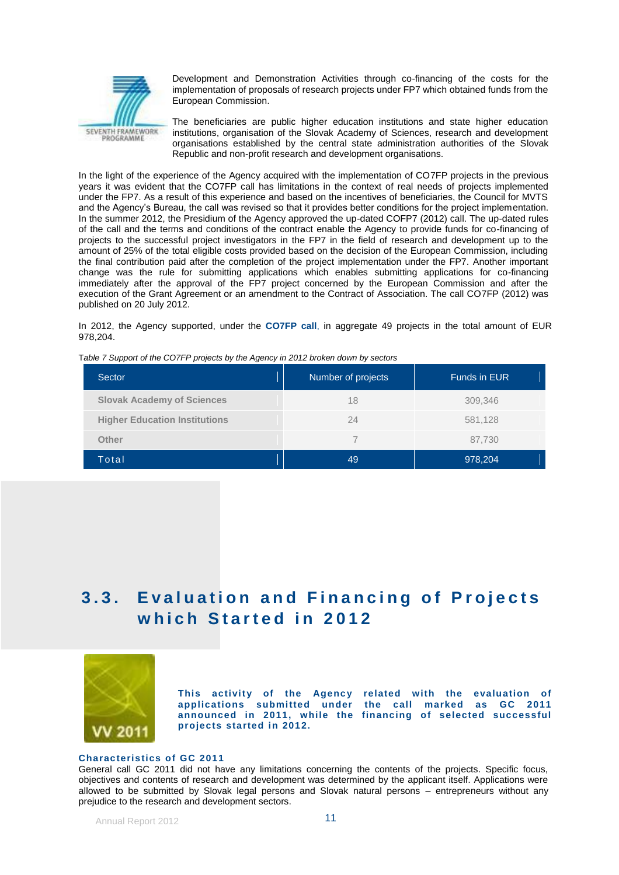

Development and Demonstration Activities through co-financing of the costs for the implementation of proposals of research projects under FP7 which obtained funds from the European Commission.

The beneficiaries are public higher education institutions and state higher education institutions, organisation of the Slovak Academy of Sciences, research and development organisations established by the central state administration authorities of the Slovak Republic and non-profit research and development organisations.

In the light of the experience of the Agency acquired with the implementation of CO7FP projects in the previous years it was evident that the CO7FP call has limitations in the context of real needs of projects implemented under the FP7. As a result of this experience and based on the incentives of beneficiaries, the Council for MVTS and the Agency's Bureau, the call was revised so that it provides better conditions for the project implementation. In the summer 2012, the Presidium of the Agency approved the up-dated COFP7 (2012) call. The up-dated rules of the call and the terms and conditions of the contract enable the Agency to provide funds for co-financing of projects to the successful project investigators in the FP7 in the field of research and development up to the amount of 25% of the total eligible costs provided based on the decision of the European Commission, including the final contribution paid after the completion of the project implementation under the FP7. Another important change was the rule for submitting applications which enables submitting applications for co-financing immediately after the approval of the FP7 project concerned by the European Commission and after the execution of the Grant Agreement or an amendment to the Contract of Association. The call CO7FP (2012) was published on 20 July 2012.

In 2012, the Agency supported, under the **CO7FP call**, in aggregate 49 projects in the total amount of EUR 978,204.

| Sector                               | Number of projects | Funds in EUR |
|--------------------------------------|--------------------|--------------|
| <b>Slovak Academy of Sciences</b>    | 18                 | 309,346      |
| <b>Higher Education Institutions</b> | 24                 | 581,128      |
| Other                                |                    | 87,730       |
| Total                                | 49                 | 978,204      |

T*able 7 Support of the CO7FP projects by the Agency in 2012 broken down by sectors*

### **3.3. Evaluation and Financing of Projects w h i c h S t a r t e d i n 2 0 1 2**



**This activity of the Agency related with the evaluation of applications submitted under the call marked as GC 2011 announced in 2011, while the financing of selected successful projects started in 2012.**

#### **Characteristics of GC 2011**

General call GC 2011 did not have any limitations concerning the contents of the projects. Specific focus, objectives and contents of research and development was determined by the applicant itself. Applications were allowed to be submitted by Slovak legal persons and Slovak natural persons – entrepreneurs without any prejudice to the research and development sectors.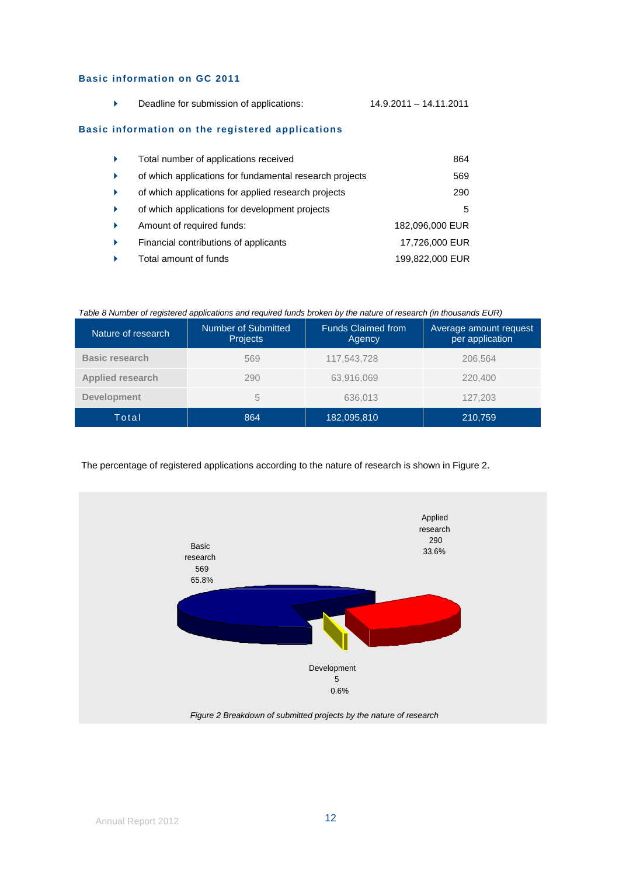#### **Basic information on GC 2011**

|  | Deadline for submission of applications: | 14.9.2011 – 14.11.2011 |
|--|------------------------------------------|------------------------|
|--|------------------------------------------|------------------------|

#### **Basic information on the registered applications**

| Total number of applications received                   | 864             |
|---------------------------------------------------------|-----------------|
| of which applications for fundamental research projects | 569             |
| of which applications for applied research projects     | 290             |
| of which applications for development projects          | 5               |
| Amount of required funds:                               | 182,096,000 EUR |
| Financial contributions of applicants                   | 17,726,000 EUR  |
| Total amount of funds                                   | 199,822,000 EUR |

#### *Table 8 Number of registered applications and required funds broken by the nature of research (in thousands EUR)*

| Nature of research    | <b>Number of Submitted</b><br>Projects | <b>Funds Claimed from</b><br>Agency | Average amount request<br>per application |
|-----------------------|----------------------------------------|-------------------------------------|-------------------------------------------|
| <b>Basic research</b> | 569                                    | 117,543,728                         | 206.564                                   |
| Applied research      | 290                                    | 63,916,069                          | 220,400                                   |
| <b>Development</b>    | 5                                      | 636,013                             | 127,203                                   |
| Total                 | 864                                    | 182,095,810                         | 210,759                                   |

#### The percentage of registered applications according to the nature of research is shown in Figure 2.

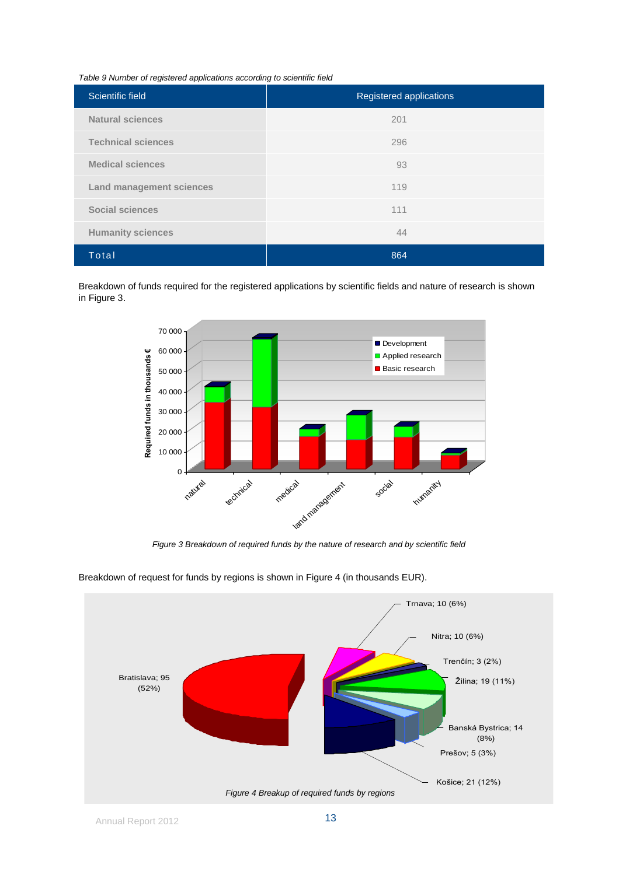*Table 9 Number of registered applications according to scientific field*

| Scientific field                | Registered applications |
|---------------------------------|-------------------------|
| <b>Natural sciences</b>         | 201                     |
| <b>Technical sciences</b>       | 296                     |
| <b>Medical sciences</b>         | 93                      |
| <b>Land management sciences</b> | 119                     |
| <b>Social sciences</b>          | 111                     |
| <b>Humanity sciences</b>        | 44                      |
| Total                           | 864                     |

Breakdown of funds required for the registered applications by scientific fields and nature of research is shown in Figure 3.



*Figure 3 Breakdown of required funds by the nature of research and by scientific field*

Trnava; 10 (6%) Nitra; 10 (6%) Bratislava; 95 (52%) Trenčín; 3 (2%) Žilina; 19 (11%) Banská Bystrica; 14 (8%) Prešov; 5 (3%) *Figure 4 Breakup of required funds by regions* Košice; 21 (12%)

Breakdown of request for funds by regions is shown in Figure 4 (in thousands EUR).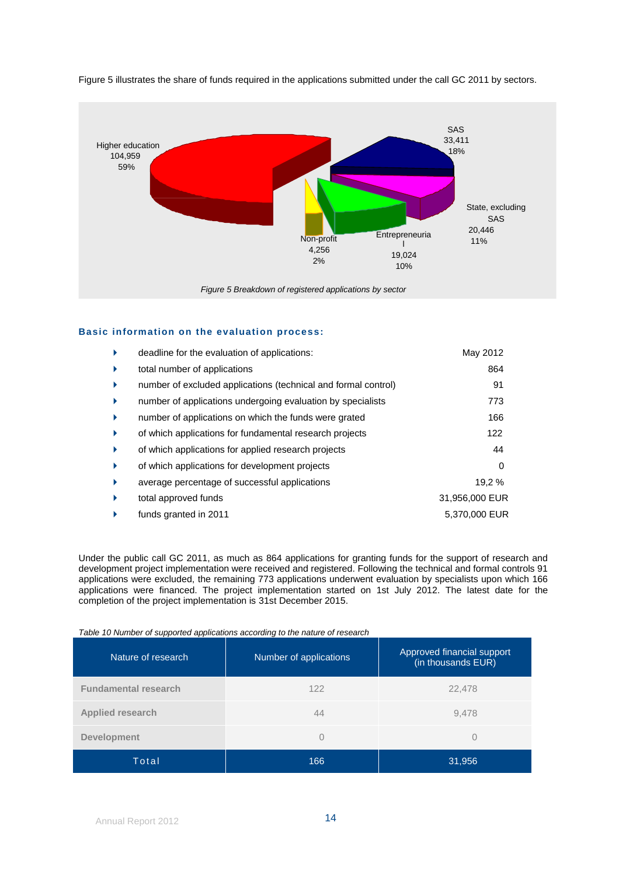

Figure 5 illustrates the share of funds required in the applications submitted under the call GC 2011 by sectors.

*Figure 5 Breakdown of registered applications by sector*

#### **Basic information on the evaluation process:**

| Þ  | deadline for the evaluation of applications:                   | May 2012       |
|----|----------------------------------------------------------------|----------------|
| Þ. | total number of applications                                   | 864            |
| Þ. | number of excluded applications (technical and formal control) | 91             |
| Þ. | number of applications undergoing evaluation by specialists    | 773            |
| Þ. | number of applications on which the funds were grated          | 166            |
| Þ. | of which applications for fundamental research projects        | 122            |
| Þ. | of which applications for applied research projects            | 44             |
| Þ. | of which applications for development projects                 | 0              |
| Þ. | average percentage of successful applications                  | 19,2 %         |
| Þ. | total approved funds                                           | 31,956,000 EUR |
|    | funds granted in 2011                                          | 5.370,000 EUR  |

Under the public call GC 2011, as much as 864 applications for granting funds for the support of research and development project implementation were received and registered. Following the technical and formal controls 91 applications were excluded, the remaining 773 applications underwent evaluation by specialists upon which 166 applications were financed. The project implementation started on 1st July 2012. The latest date for the completion of the project implementation is 31st December 2015.

*Table 10 Number of supported applications according to the nature of research*

| Nature of research          | Number of applications | Approved financial support<br>(in thousands EUR) |
|-----------------------------|------------------------|--------------------------------------------------|
| <b>Fundamental research</b> | 122                    | 22,478                                           |
| <b>Applied research</b>     | 44                     | 9,478                                            |
| <b>Development</b>          | 0                      | $^{()}$                                          |
| Total                       | 166                    | 31,956                                           |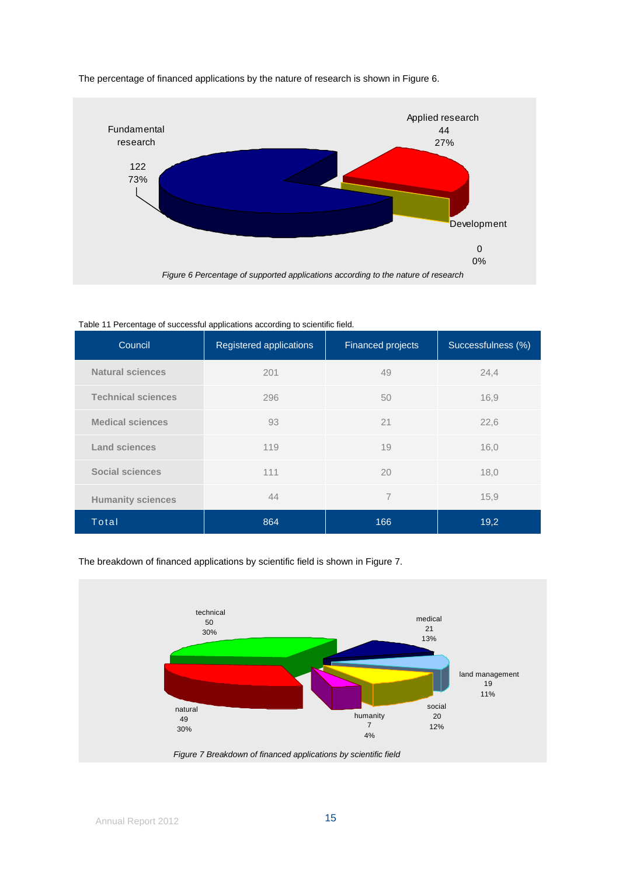

The percentage of financed applications by the nature of research is shown in Figure 6.

Table 11 Percentage of successful applications according to scientific field.

| Council                   | . .<br>~<br>Registered applications | <b>Financed projects</b> | Successfulness (%) |
|---------------------------|-------------------------------------|--------------------------|--------------------|
| <b>Natural sciences</b>   | 201                                 | 49                       | 24,4               |
| <b>Technical sciences</b> | 296                                 | 50                       | 16,9               |
| <b>Medical sciences</b>   | 93                                  | 21                       | 22,6               |
| <b>Land sciences</b>      | 119                                 | 19                       | 16,0               |
| <b>Social sciences</b>    | 111                                 | 20                       | 18,0               |
| <b>Humanity sciences</b>  | 44                                  | 7                        | 15,9               |
| Total                     | 864                                 | 166                      | 19,2               |

The breakdown of financed applications by scientific field is shown in Figure 7.



*Figure 7 Breakdown of financed applications by scientific field*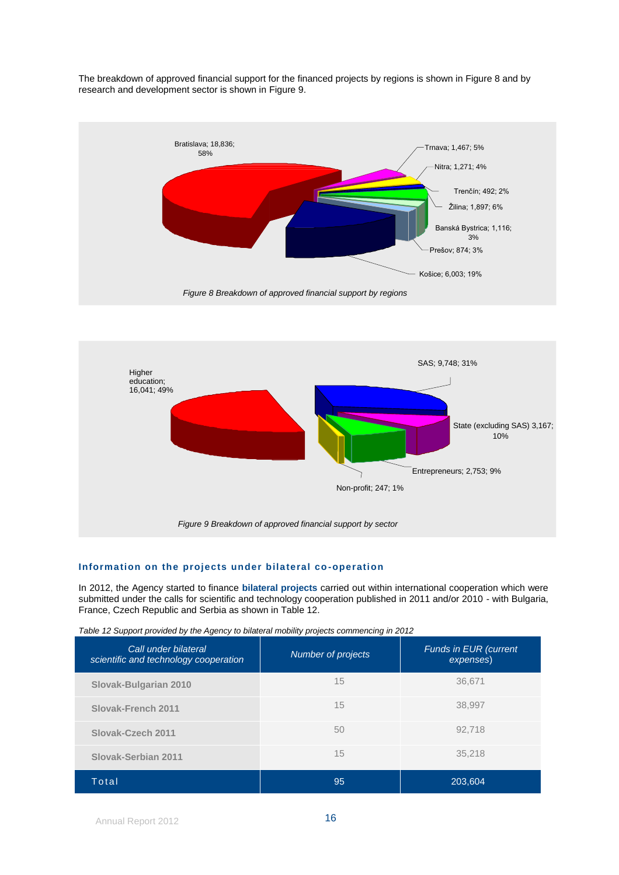The breakdown of approved financial support for the financed projects by regions is shown in Figure 8 and by research and development sector is shown in Figure 9.





#### **Information on the projects under bilateral co -operation**

In 2012, the Agency started to finance **bilateral projects** carried out within international cooperation which were submitted under the calls for scientific and technology cooperation published in 2011 and/or 2010 - with Bulgaria, France, Czech Republic and Serbia as shown in Table 12.

*Table 12 Support provided by the Agency to bilateral mobility projects commencing in 2012*

| Call under bilateral<br>scientific and technology cooperation | Number of projects | Funds in EUR (current<br>expenses) |
|---------------------------------------------------------------|--------------------|------------------------------------|
| Slovak-Bulgarian 2010                                         | 15                 | 36.671                             |
| <b>Slovak-French 2011</b>                                     | 15                 | 38,997                             |
| Slovak-Czech 2011                                             | 50                 | 92.718                             |
| Slovak-Serbian 2011                                           | 15                 | 35,218                             |
| Total                                                         | 95                 | 203.604                            |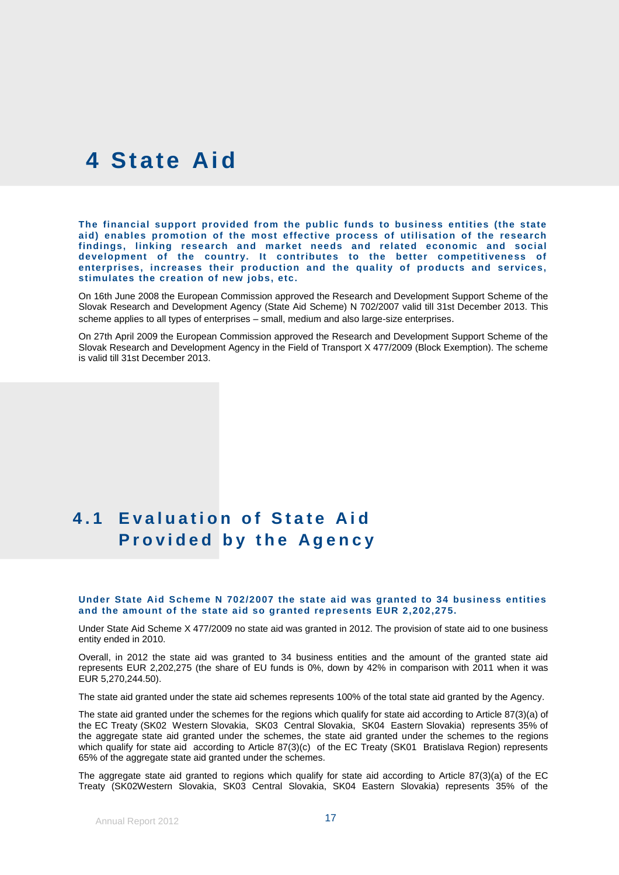## **4 State Aid**

**The financial support provided from the public funds to business entities (the state aid) enables promotion of the most effective process of utilisation of the research findings, linking research and market needs and related economic and social development of the country. It contributes to the better competitiveness of enterprises, increases their production and the quality of products and services, stimulates the creation of new jobs, etc.** 

On 16th June 2008 the European Commission approved the Research and Development Support Scheme of the Slovak Research and Development Agency (State Aid Scheme) N 702/2007 valid till 31st December 2013. This scheme applies to all types of enterprises – small, medium and also large-size enterprises.

On 27th April 2009 the European Commission approved the Research and Development Support Scheme of the Slovak Research and Development Agency in the Field of Transport X 477/2009 (Block Exemption). The scheme is valid till 31st December 2013.

## **4.1 E v a l u a t i o n o f S t a t e A i d P r o v i d e d b y t h e A g e n c y**

**Under State Aid Scheme N 702/2007 the state aid was granted to 34 business entities and the amount of the state aid so granted represents EUR 2,202,275.**

Under State Aid Scheme X 477/2009 no state aid was granted in 2012. The provision of state aid to one business entity ended in 2010.

Overall, in 2012 the state aid was granted to 34 business entities and the amount of the granted state aid represents EUR 2,202,275 (the share of EU funds is 0%, down by 42% in comparison with 2011 when it was EUR 5,270,244.50).

The state aid granted under the state aid schemes represents 100% of the total state aid granted by the Agency.

The state aid granted under the schemes for the regions which qualify for state aid according to Article 87(3)(a) of the EC Treaty (SK02 Western Slovakia, SK03 Central Slovakia, SK04 Eastern Slovakia) represents 35% of the aggregate state aid granted under the schemes, the state aid granted under the schemes to the regions which qualify for state aid according to Article 87(3)(c) of the EC Treaty (SK01 Bratislava Region) represents 65% of the aggregate state aid granted under the schemes.

The aggregate state aid granted to regions which qualify for state aid according to Article 87(3)(a) of the EC Treaty (SK02Western Slovakia, SK03 Central Slovakia, SK04 Eastern Slovakia) represents 35% of the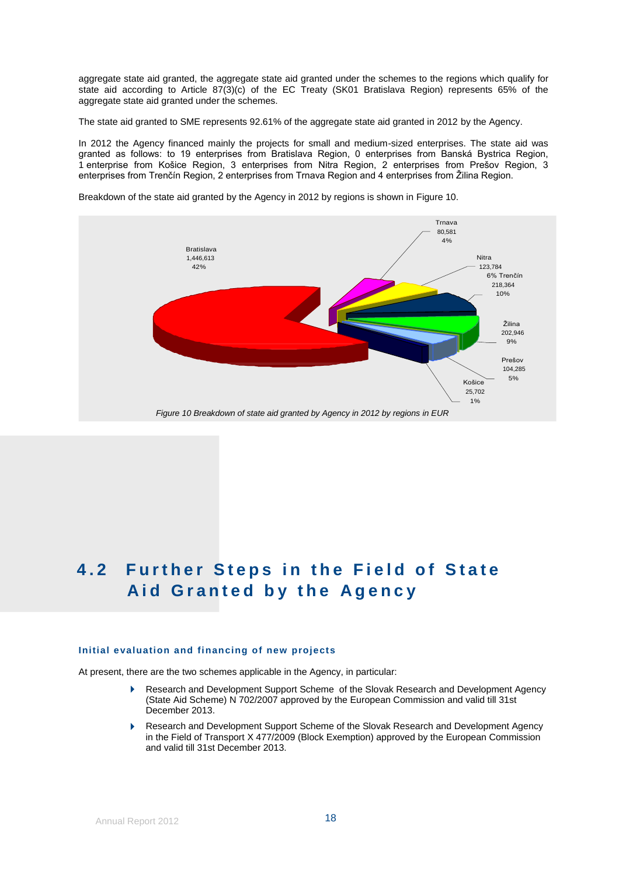aggregate state aid granted, the aggregate state aid granted under the schemes to the regions which qualify for state aid according to Article 87(3)(c) of the EC Treaty (SK01 Bratislava Region) represents 65% of the aggregate state aid granted under the schemes.

The state aid granted to SME represents 92.61% of the aggregate state aid granted in 2012 by the Agency.

In 2012 the Agency financed mainly the projects for small and medium-sized enterprises. The state aid was granted as follows: to 19 enterprises from Bratislava Region, 0 enterprises from Banská Bystrica Region, 1 enterprise from Košice Region, 3 enterprises from Nitra Region, 2 enterprises from Prešov Region, 3 enterprises from Trenčín Region, 2 enterprises from Trnava Region and 4 enterprises from Žilina Region.

Breakdown of the state aid granted by the Agency in 2012 by regions is shown in Figure 10.



## **4.2 Further Steps in the Field of State** Aid Granted by the Agency

#### **Initial evaluation and financing of new projects**

At present, there are the two schemes applicable in the Agency, in particular:

- ▶ Research and Development Support Scheme of the Slovak Research and Development Agency (State Aid Scheme) N 702/2007 approved by the European Commission and valid till 31st December 2013.
- Research and Development Support Scheme of the Slovak Research and Development Agency in the Field of Transport X 477/2009 (Block Exemption) approved by the European Commission and valid till 31st December 2013.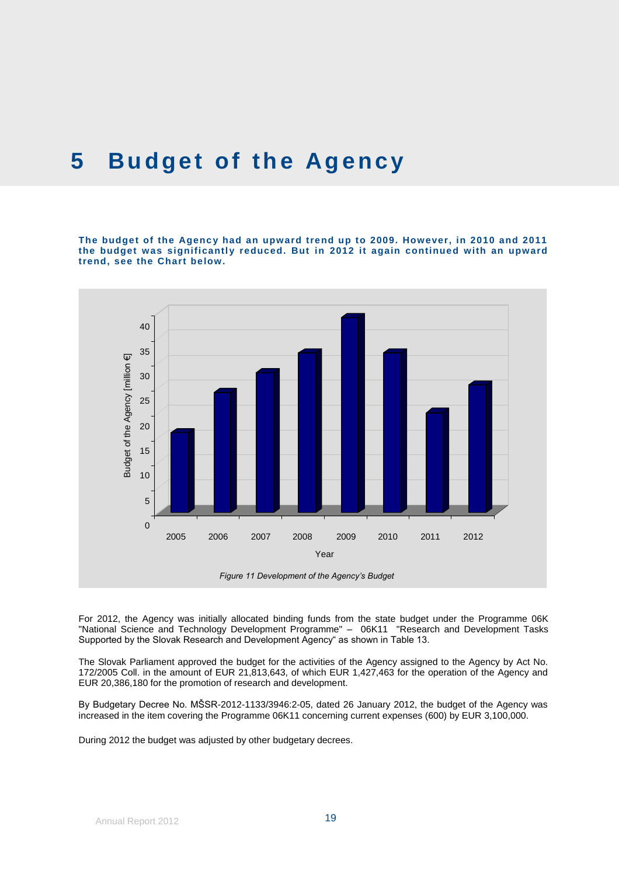## **5** Budget of the Agency

**The budget of the Agency had an upward trend up to 2009. However, in 2010 and 2011 the budget was significantly reduced. But in 2012 it again continued with an upward trend, see the Chart below.**



For 2012, the Agency was initially allocated binding funds from the state budget under the Programme 06K "National Science and Technology Development Programme" – 06K11 "Research and Development Tasks Supported by the Slovak Research and Development Agency" as shown in Table 13.

The Slovak Parliament approved the budget for the activities of the Agency assigned to the Agency by Act No. 172/2005 Coll. in the amount of EUR 21,813,643, of which EUR 1,427,463 for the operation of the Agency and EUR 20,386,180 for the promotion of research and development.

By Budgetary Decree No. MŠSR-2012-1133/3946:2-05, dated 26 January 2012, the budget of the Agency was increased in the item covering the Programme 06K11 concerning current expenses (600) by EUR 3,100,000.

During 2012 the budget was adjusted by other budgetary decrees.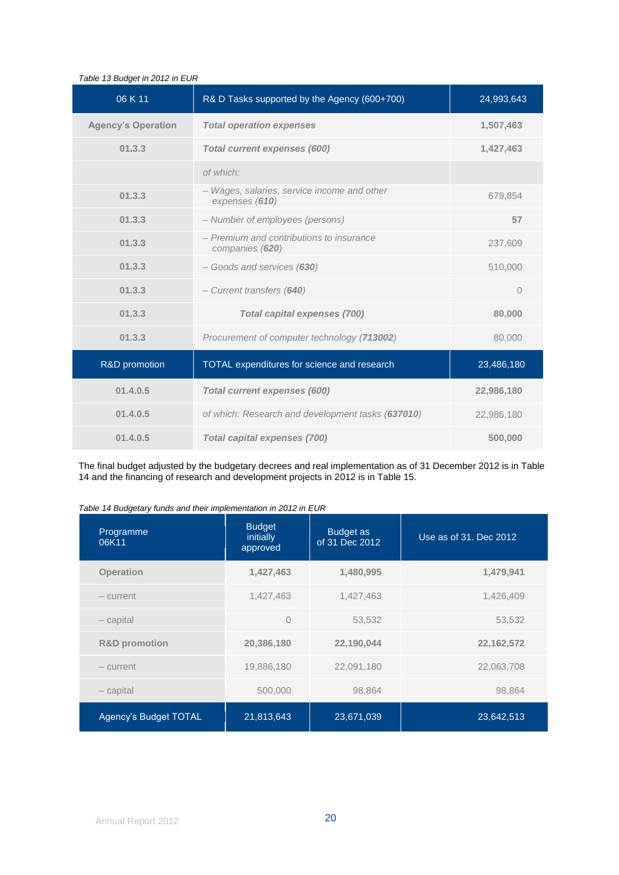#### *Table 13 Budget in 2012 in EUR*

| 06 K 11                   | R& D Tasks supported by the Agency (600+700)                  | 24,993,643 |
|---------------------------|---------------------------------------------------------------|------------|
| <b>Agency's Operation</b> | <b>Total operation expenses</b>                               | 1,507,463  |
| 01.3.3                    | <b>Total current expenses (600)</b>                           | 1,427,463  |
|                           | of which:                                                     |            |
| 01.3.3                    | - Wages, salaries, service income and other<br>expenses (610) | 679,854    |
| 01.3.3                    | - Number of employees (persons)                               | 57         |
| 01.3.3                    | - Premium and contributions to insurance<br>companies (620)   | 237,609    |
| 01.3.3                    | - Goods and services (630)<br>510,000                         |            |
| 01.3.3                    | - Current transfers (640)                                     | $\Omega$   |
| 01.3.3                    | <b>Total capital expenses (700)</b>                           | 80,000     |
| 01.3.3                    | Procurement of computer technology (713002)                   | 80,000     |
| R&D promotion             | TOTAL expenditures for science and research                   | 23,486,180 |
| 01.4.0.5                  | <b>Total current expenses (600)</b>                           | 22,986,180 |
| 01.4.0.5                  | of which: Research and development tasks (637010)             | 22,986,180 |
| 01.4.0.5                  | <b>Total capital expenses (700)</b><br>500,000                |            |

The final budget adjusted by the budgetary decrees and real implementation as of 31 December 2012 is in Table 14 and the financing of research and development projects in 2012 is in Table 15.

*Table 14 Budgetary funds and their implementation in 2012 in EUR*

| Programme<br>06K11       | <b>Budget</b><br>initially<br>approved | <b>Budget as</b><br>of 31 Dec 2012 | Use as of 31. Dec 2012 |
|--------------------------|----------------------------------------|------------------------------------|------------------------|
| <b>Operation</b>         | 1,427,463                              | 1,480,995                          | 1,479,941              |
| - current                | 1,427,463                              | 1,427,463                          | 1,426,409              |
| - capital                | $\overline{0}$                         | 53,532                             | 53,532                 |
| <b>R&amp;D</b> promotion | 20,386,180                             | 22,190,044                         | 22,162,572             |
| - current                | 19,886,180                             | 22,091,180                         | 22,063,708             |
| - capital                | 500,000                                | 98,864                             | 98,864                 |
| Agency's Budget TOTAL    | 21,813,643                             | 23,671,039                         | 23,642,513             |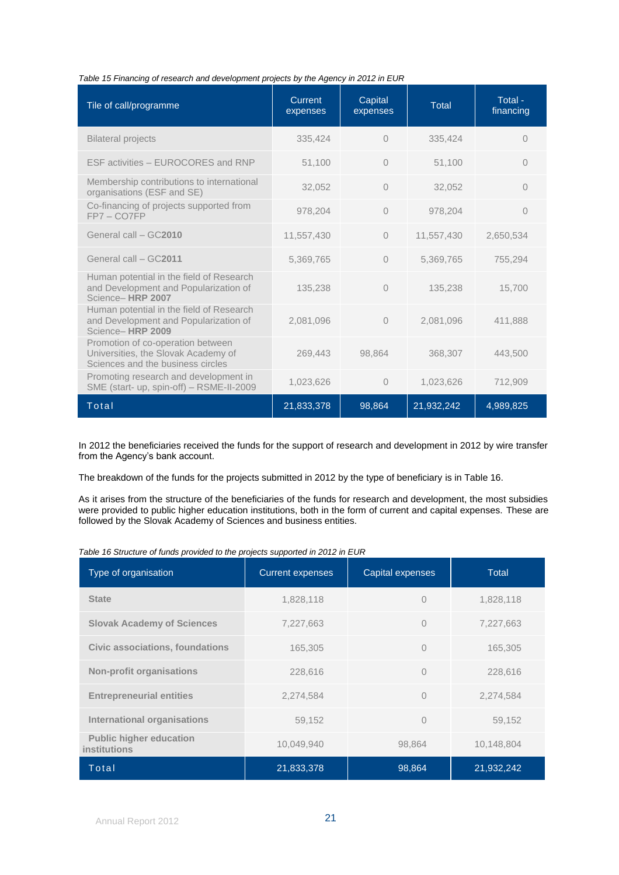| Table 15 Financing of research and development projects by the Agency in 2012 in EUR |  |  |
|--------------------------------------------------------------------------------------|--|--|
|--------------------------------------------------------------------------------------|--|--|

| Tile of call/programme                                                                                        | Current<br>expenses | Capital<br>expenses | <b>Total</b> | Total -<br>financing |
|---------------------------------------------------------------------------------------------------------------|---------------------|---------------------|--------------|----------------------|
| <b>Bilateral projects</b>                                                                                     | 335,424             | $\Omega$            | 335,424      | $\Omega$             |
| ESF activities - EUROCORES and RNP                                                                            | 51,100              | $\bigcap$           | 51,100       | $\Omega$             |
| Membership contributions to international<br>organisations (ESF and SE)                                       | 32,052              | $\Omega$            | 32,052       | $\Omega$             |
| Co-financing of projects supported from<br>$FP7 - CO7FP$                                                      | 978,204             | $\Omega$            | 978,204      | 0                    |
| General call - GC2010                                                                                         | 11,557,430          | 0                   | 11,557,430   | 2,650,534            |
| General call - GC2011                                                                                         | 5,369,765           | 0                   | 5,369,765    | 755,294              |
| Human potential in the field of Research<br>and Development and Popularization of<br>Science-HRP 2007         | 135,238             | $\Omega$            | 135,238      | 15,700               |
| Human potential in the field of Research<br>and Development and Popularization of<br>Science-HRP 2009         | 2,081,096           | $\Omega$            | 2,081,096    | 411.888              |
| Promotion of co-operation between<br>Universities, the Slovak Academy of<br>Sciences and the business circles | 269,443             | 98,864              | 368,307      | 443,500              |
| Promoting research and development in<br>SME (start- up, spin-off) - RSME-II-2009                             | 1,023,626           | $\Omega$            | 1,023,626    | 712,909              |
| Total                                                                                                         | 21,833,378          | 98,864              | 21,932,242   | 4,989,825            |

In 2012 the beneficiaries received the funds for the support of research and development in 2012 by wire transfer from the Agency's bank account.

The breakdown of the funds for the projects submitted in 2012 by the type of beneficiary is in Table 16.

As it arises from the structure of the beneficiaries of the funds for research and development, the most subsidies were provided to public higher education institutions, both in the form of current and capital expenses. These are followed by the Slovak Academy of Sciences and business entities.

*Table 16 Structure of funds provided to the projects supported in 2012 in EUR*

| Type of organisation                                  | <b>Current expenses</b> | Capital expenses | <b>Total</b> |
|-------------------------------------------------------|-------------------------|------------------|--------------|
| <b>State</b>                                          | 1.828.118               | $\Omega$         | 1,828,118    |
| <b>Slovak Academy of Sciences</b>                     | 7,227,663               | $\Omega$         | 7,227,663    |
| Civic associations, foundations                       | 165,305                 | $\Omega$         | 165,305      |
| <b>Non-profit organisations</b>                       | 228,616                 | $\Omega$         | 228,616      |
| <b>Entrepreneurial entities</b>                       | 2,274,584               | $\Omega$         | 2,274,584    |
| International organisations                           | 59,152                  | $\Omega$         | 59,152       |
| <b>Public higher education</b><br><b>institutions</b> | 10,049,940              | 98.864           | 10,148,804   |
| Total                                                 | 21,833,378              | 98,864           | 21,932,242   |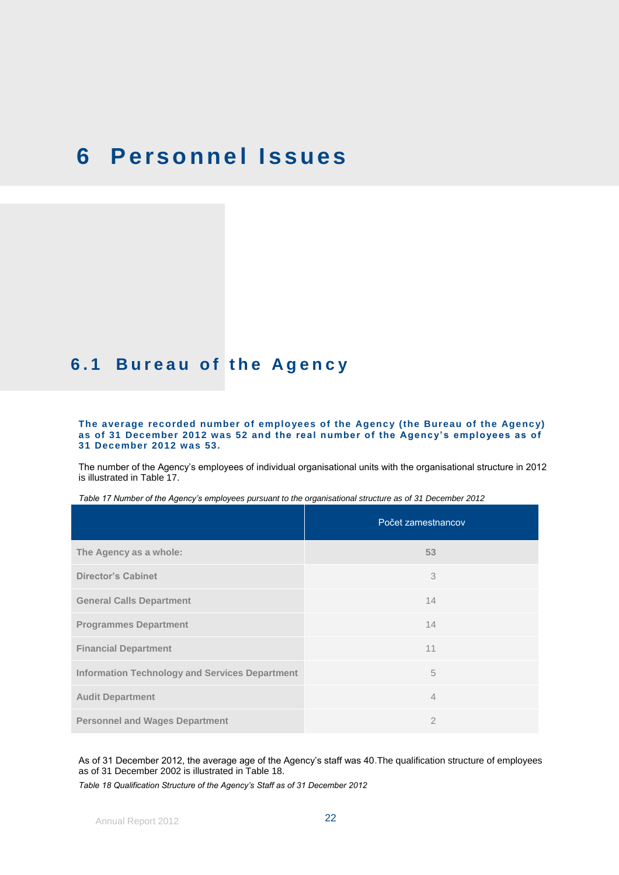## **6 Personn el Issues**

## **6 . 1 B u r e a u o f t h e A g e n c y**

#### **The average recorded number of employees of the Agency (the Bureau of the Agency) as of 31 December 2012 was 52 and the real number of the Agency's employees as of 31 December 2012 was 53.**

The number of the Agency's employees of individual organisational units with the organisational structure in 2012 is illustrated in Table 17.

|  | Table 17 Number of the Agency's employees pursuant to the organisational structure as of 31 December 2012 |
|--|-----------------------------------------------------------------------------------------------------------|
|  |                                                                                                           |

|                                                       | Počet zamestnancov |
|-------------------------------------------------------|--------------------|
| The Agency as a whole:                                | 53                 |
| <b>Director's Cabinet</b>                             | 3                  |
| <b>General Calls Department</b>                       | 14                 |
| <b>Programmes Department</b>                          | 14                 |
| <b>Financial Department</b>                           | 11                 |
| <b>Information Technology and Services Department</b> | 5                  |
| <b>Audit Department</b>                               | $\overline{4}$     |
| <b>Personnel and Wages Department</b>                 | $\overline{2}$     |

As of 31 December 2012, the average age of the Agency's staff was 40.The qualification structure of employees as of 31 December 2002 is illustrated in Table 18.

*Table 18 Qualification Structure of the Agency's Staff as of 31 December 2012*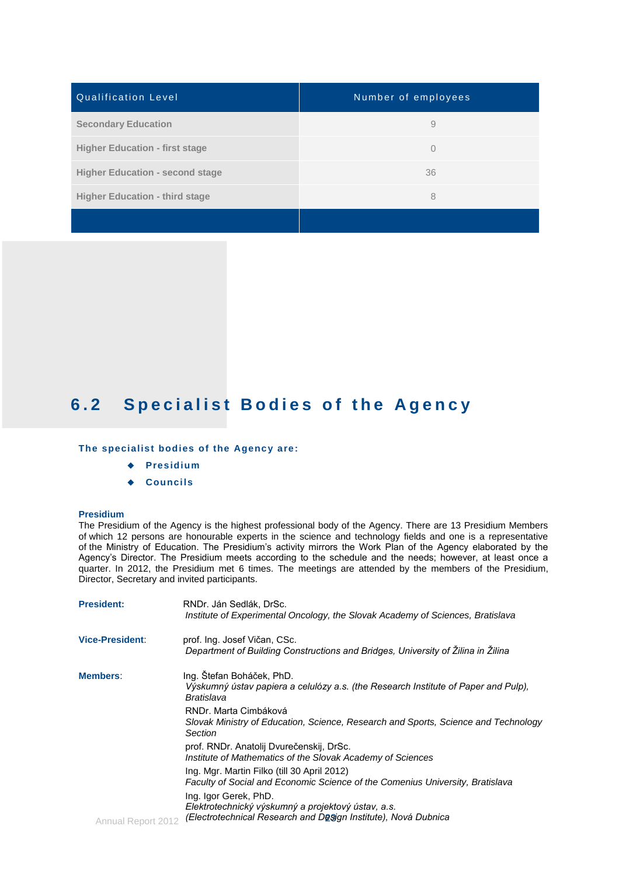| <b>Qualification Level</b>             | Number of employees |
|----------------------------------------|---------------------|
| <b>Secondary Education</b>             | 9                   |
| <b>Higher Education - first stage</b>  | $\Omega$            |
| <b>Higher Education - second stage</b> | 36                  |
| <b>Higher Education - third stage</b>  | 8                   |
|                                        |                     |

## **6.2 Specialist Bodies of the Agency**

#### **The specialist bodies of the Agency are:**

- **Presidium**
- **Councils**

#### **Presidium**

The Presidium of the Agency is the highest professional body of the Agency. There are 13 Presidium Members of which 12 persons are honourable experts in the science and technology fields and one is a representative of the Ministry of Education. The Presidium's activity mirrors the Work Plan of the Agency elaborated by the Agency's Director. The Presidium meets according to the schedule and the needs; however, at least once a quarter. In 2012, the Presidium met 6 times. The meetings are attended by the members of the Presidium, Director, Secretary and invited participants.

| <b>President:</b>         | RNDr. Ján Sedlák, DrSc.<br>Institute of Experimental Oncology, the Slovak Academy of Sciences, Bratislava                                     |
|---------------------------|-----------------------------------------------------------------------------------------------------------------------------------------------|
| <b>Vice-President:</b>    | prof. Ing. Josef Vičan, CSc.<br>Department of Building Constructions and Bridges, University of Žilina in Žilina                              |
| Members:                  | Ing. Štefan Boháček, PhD.<br>Výskumný ústav papiera a celulózy a.s. (the Research Institute of Paper and Pulp),<br>Bratislava                 |
|                           | RNDr. Marta Cimbáková<br>Slovak Ministry of Education, Science, Research and Sports, Science and Technology<br>Section                        |
|                           | prof. RNDr. Anatolij Dvurečenskij, DrSc.<br>Institute of Mathematics of the Slovak Academy of Sciences                                        |
|                           | Ing. Mgr. Martin Filko (till 30 April 2012)<br>Faculty of Social and Economic Science of the Comenius University, Bratislava                  |
| <b>Annual Report 2012</b> | Ing. Igor Gerek, PhD.<br>Elektrotechnický výskumný a projektový ústav, a.s.<br>(Electrotechnical Research and Design Institute), Nová Dubnica |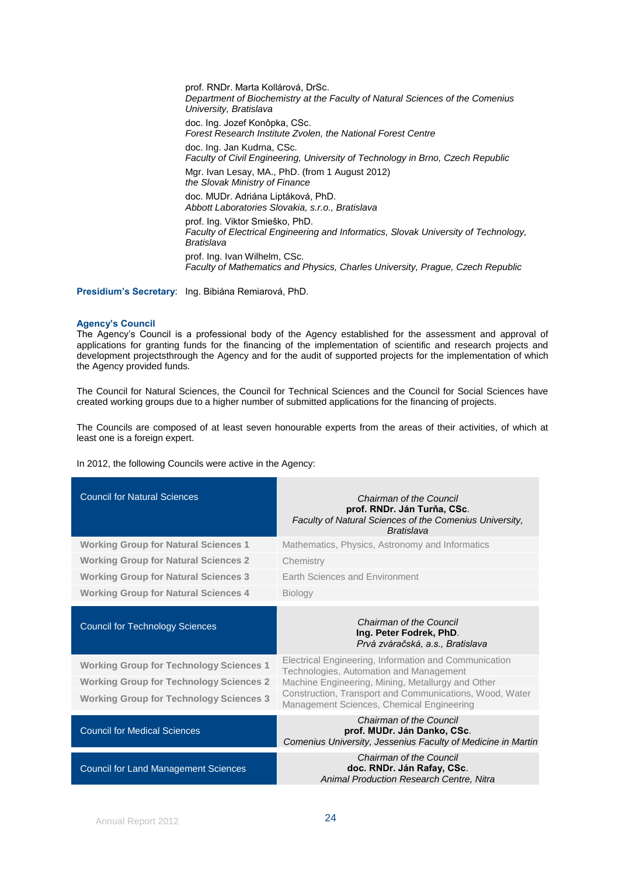prof. RNDr. Marta Kollárová, DrSc. *Department of Biochemistry at the Faculty of Natural Sciences of the Comenius University, Bratislava* doc. Ing. Jozef Konôpka, CSc. *Forest Research Institute Zvolen, the National Forest Centre* doc. Ing. Jan Kudrna, CSc. *Faculty of Civil Engineering, University of Technology in Brno, Czech Republic* Mgr. Ivan Lesay, MA., PhD. (from 1 August 2012) *the Slovak Ministry of Finance* doc. MUDr. Adriána Liptáková, PhD. *Abbott Laboratories Slovakia, s.r.o., Bratislava* prof. Ing. Viktor Smieško, PhD. *Faculty of Electrical Engineering and Informatics, Slovak University of Technology, Bratislava* prof. Ing. Ivan Wilhelm, CSc. *Faculty of Mathematics and Physics, Charles University, Prague, Czech Republic*

**Presidium's Secretary**: Ing. Bibiána Remiarová, PhD.

#### **Agency's Council**

The Agency's Council is a professional body of the Agency established for the assessment and approval of applications for granting funds for the financing of the implementation of scientific and research projects and development projectsthrough the Agency and for the audit of supported projects for the implementation of which the Agency provided funds.

The Council for Natural Sciences, the Council for Technical Sciences and the Council for Social Sciences have created working groups due to a higher number of submitted applications for the financing of projects.

The Councils are composed of at least seven honourable experts from the areas of their activities, of which at least one is a foreign expert.

In 2012, the following Councils were active in the Agency:

| <b>Council for Natural Sciences</b>            | <b>Chairman of the Council</b><br>prof. RNDr. Ján Turňa, CSc.<br>Faculty of Natural Sciences of the Comenius University,<br><b>Bratislava</b> |  |
|------------------------------------------------|-----------------------------------------------------------------------------------------------------------------------------------------------|--|
| <b>Working Group for Natural Sciences 1</b>    | Mathematics, Physics, Astronomy and Informatics                                                                                               |  |
| <b>Working Group for Natural Sciences 2</b>    | Chemistry                                                                                                                                     |  |
| <b>Working Group for Natural Sciences 3</b>    | <b>Earth Sciences and Environment</b>                                                                                                         |  |
| <b>Working Group for Natural Sciences 4</b>    | <b>Biology</b>                                                                                                                                |  |
| <b>Council for Technology Sciences</b>         | <b>Chairman of the Council</b><br>Ing. Peter Fodrek, PhD.<br>Prvá zváračská, a.s., Bratislava                                                 |  |
| <b>Working Group for Technology Sciences 1</b> | Electrical Engineering, Information and Communication<br>Technologies, Automation and Management                                              |  |
| <b>Working Group for Technology Sciences 2</b> | Machine Engineering, Mining, Metallurgy and Other                                                                                             |  |
| <b>Working Group for Technology Sciences 3</b> | Construction, Transport and Communications, Wood, Water<br>Management Sciences, Chemical Engineering                                          |  |
| <b>Council for Medical Sciences</b>            | <b>Chairman of the Council</b><br>prof. MUDr. Ján Danko, CSc.<br>Comenius University, Jessenius Faculty of Medicine in Martin                 |  |
| <b>Council for Land Management Sciences</b>    | <b>Chairman of the Council</b><br>doc. RNDr. Ján Rafay, CSc.<br>Animal Production Research Centre, Nitra                                      |  |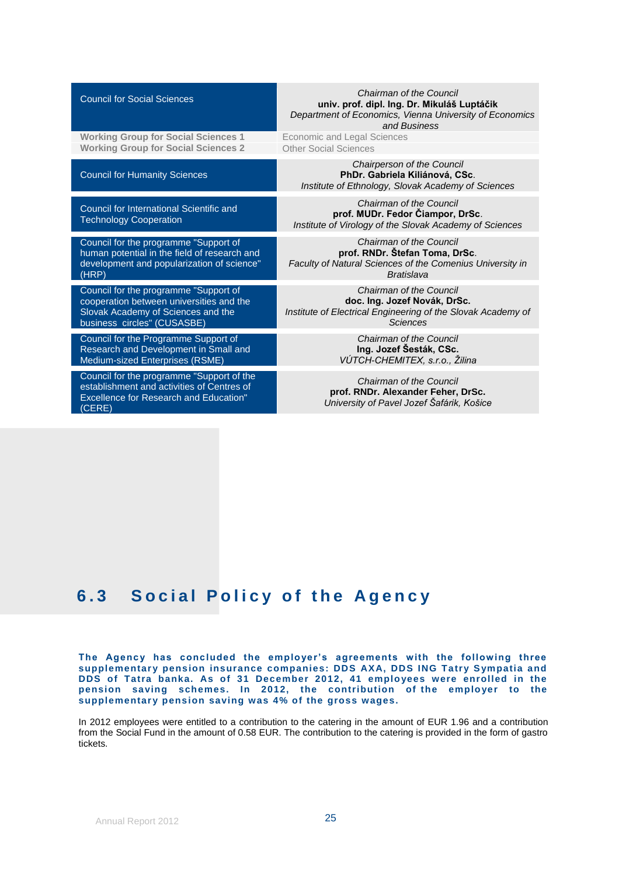| <b>Council for Social Sciences</b>                                                                                                                 | Chairman of the Council<br>univ. prof. dipl. Ing. Dr. Mikuláš Luptáčik<br>Department of Economics, Vienna University of Economics<br>and Business |
|----------------------------------------------------------------------------------------------------------------------------------------------------|---------------------------------------------------------------------------------------------------------------------------------------------------|
| <b>Working Group for Social Sciences 1</b>                                                                                                         | Economic and Legal Sciences                                                                                                                       |
| <b>Working Group for Social Sciences 2</b>                                                                                                         | Other Social Sciences                                                                                                                             |
| <b>Council for Humanity Sciences</b>                                                                                                               | Chairperson of the Council<br>PhDr. Gabriela Kiliánová, CSc.<br>Institute of Ethnology, Slovak Academy of Sciences                                |
| Council for International Scientific and<br><b>Technology Cooperation</b>                                                                          | Chairman of the Council<br>prof. MUDr. Fedor Čiampor, DrSc.<br>Institute of Virology of the Slovak Academy of Sciences                            |
| Council for the programme "Support of                                                                                                              | <b>Chairman of the Council</b>                                                                                                                    |
| human potential in the field of research and                                                                                                       | prof. RNDr. Štefan Toma, DrSc.                                                                                                                    |
| development and popularization of science"                                                                                                         | Faculty of Natural Sciences of the Comenius University in                                                                                         |
| (HRP)                                                                                                                                              | <b>Bratislava</b>                                                                                                                                 |
| Council for the programme "Support of                                                                                                              | Chairman of the Council                                                                                                                           |
| cooperation between universities and the                                                                                                           | doc. Ing. Jozef Novák, DrSc.                                                                                                                      |
| Slovak Academy of Sciences and the                                                                                                                 | Institute of Electrical Engineering of the Slovak Academy of                                                                                      |
| business circles" (CUSASBE)                                                                                                                        | Sciences                                                                                                                                          |
| Council for the Programme Support of                                                                                                               | Chairman of the Council                                                                                                                           |
| Research and Development in Small and                                                                                                              | Ing. Jozef Šesták, CSc.                                                                                                                           |
| Medium-sized Enterprises (RSME)                                                                                                                    | VÚTCH-CHEMITEX, s.r.o., Žilina                                                                                                                    |
| Council for the programme "Support of the<br>establishment and activities of Centres of<br><b>Excellence for Research and Education"</b><br>(CERE) | <b>Chairman of the Council</b><br>prof. RNDr. Alexander Feher, DrSc.<br>University of Pavel Jozef Šafárik, Košice                                 |

### **6.3** Social Policy of the Agency

**The Agency has concluded the employer's agreements with the following three supplementary pension insurance companies: DDS AXA, DDS ING Tatry Sympatia and DDS of Tatra banka. As of 31 December 2012, 41 employees were enrolled in the pension saving schemes. In 2012, the contribution of the employer to the supplementary pension saving was 4% of the gross wages.**

In 2012 employees were entitled to a contribution to the catering in the amount of EUR 1.96 and a contribution from the Social Fund in the amount of 0.58 EUR. The contribution to the catering is provided in the form of gastro tickets.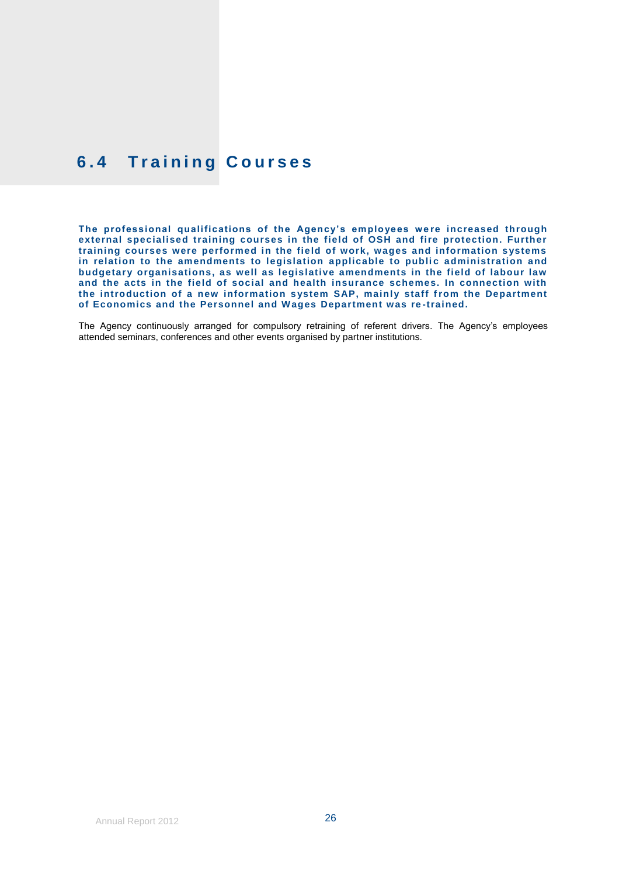## **6.4 Training Courses**

The professional qualifications of the Agency's employees were increased through **external specialised training courses in the field of OSH and fire protection. Further training courses were performed in the field of work, wages and information systems**  in relation to the amendments to legislation applicable to public administration and **budgetary organisations, as well as legislative amendments in the field of labour law and the acts in the field of social and health insurance schemes. In connection with the introduction of a new information system SAP, mainly staff from the Department of Economics and the Personnel and Wages Department was re -trained.**

The Agency continuously arranged for compulsory retraining of referent drivers. The Agency's employees attended seminars, conferences and other events organised by partner institutions.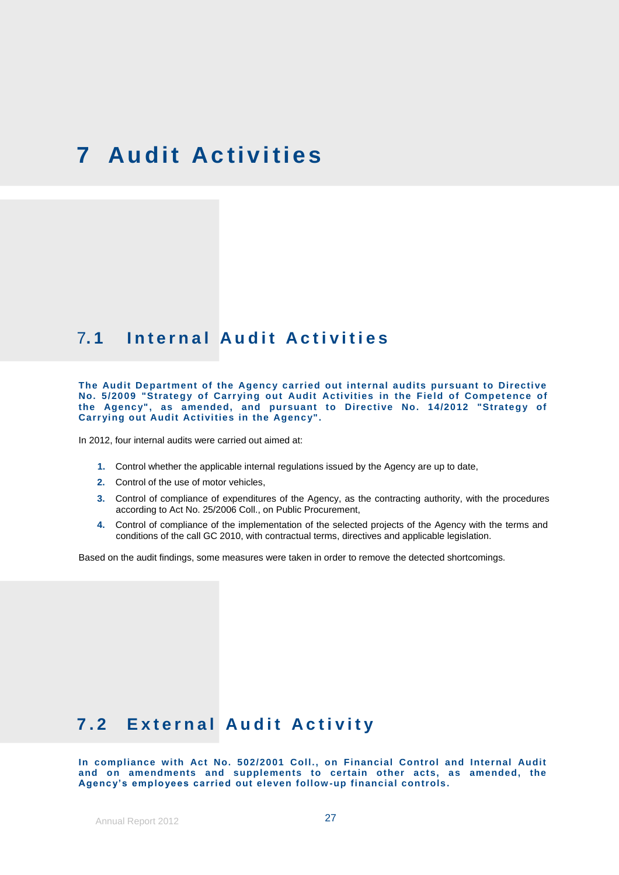## **7 Audit Ac tivities**

### 7**. 1 I n t e r n a l A u d i t A c t i v i t i e s**

**The Audit Department of the Agency carried out internal audits pursuant to Directive No. 5/2009 "Strategy of Carrying out Audit Activities in the Field of Compet ence of the Agency", as amended, and pursuant to Directive No. 14/2012 "Strategy of Carrying out Audit Activities in the Agency".**

In 2012, four internal audits were carried out aimed at:

- **1.** Control whether the applicable internal regulations issued by the Agency are up to date,
- **2.** Control of the use of motor vehicles,
- **3.** Control of compliance of expenditures of the Agency, as the contracting authority, with the procedures according to Act No. 25/2006 Coll., on Public Procurement,
- **4.** Control of compliance of the implementation of the selected projects of the Agency with the terms and conditions of the call GC 2010, with contractual terms, directives and applicable legislation.

Based on the audit findings, some measures were taken in order to remove the detected shortcomings.

### **7.2 E x t e r n a l A u d i t A c t i v i t y**

**In compliance with Act No. 502/2001 Coll., on Financial Control and Internal Audit and on amendments and supplements to certain other acts, as amended, the Agency's employees carried out eleven follow-up financial controls.**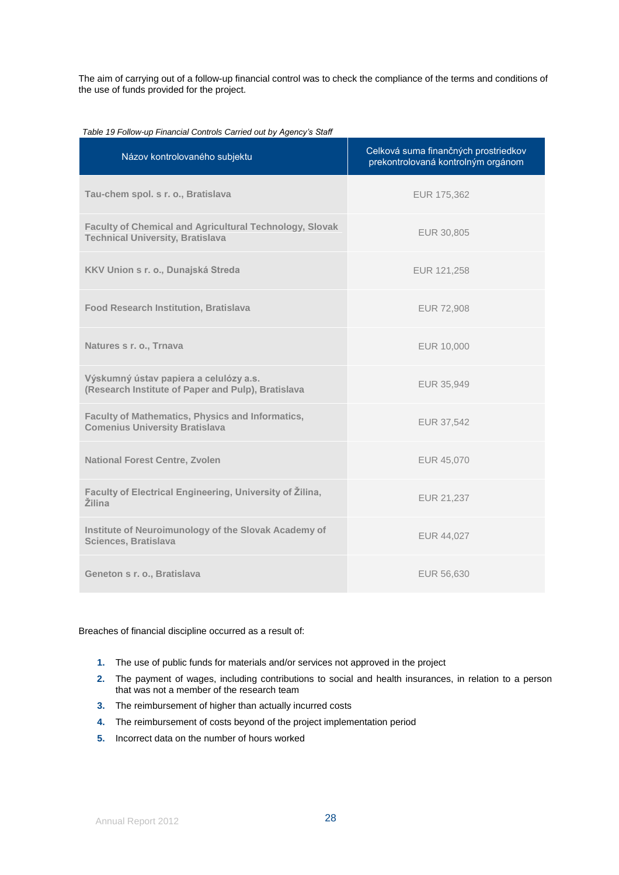The aim of carrying out of a follow-up financial control was to check the compliance of the terms and conditions of the use of funds provided for the project.

#### *Table 19 Follow-up Financial Controls Carried out by Agency's Staff*

| Názov kontrolovaného subjektu                                                                             | Celková suma finančných prostriedkov<br>prekontrolovaná kontrolným orgánom |  |
|-----------------------------------------------------------------------------------------------------------|----------------------------------------------------------------------------|--|
| Tau-chem spol. s r. o., Bratislava                                                                        | EUR 175,362                                                                |  |
| <b>Faculty of Chemical and Agricultural Technology, Slovak</b><br><b>Technical University, Bratislava</b> | EUR 30,805                                                                 |  |
| KKV Union s r. o., Dunajská Streda                                                                        | EUR 121,258                                                                |  |
| <b>Food Research Institution, Bratislava</b>                                                              | EUR 72,908                                                                 |  |
| Natures s r. o., Trnava                                                                                   | EUR 10,000                                                                 |  |
| Výskumný ústav papiera a celulózy a.s.<br>(Research Institute of Paper and Pulp), Bratislava              | EUR 35,949                                                                 |  |
| <b>Faculty of Mathematics, Physics and Informatics,</b><br><b>Comenius University Bratislava</b>          | EUR 37,542                                                                 |  |
| <b>National Forest Centre, Zvolen</b>                                                                     | EUR 45,070                                                                 |  |
| Faculty of Electrical Engineering, University of Žilina,<br>Žilina                                        | EUR 21,237                                                                 |  |
| Institute of Neuroimunology of the Slovak Academy of<br><b>Sciences, Bratislava</b>                       | EUR 44,027                                                                 |  |
| Geneton s r. o., Bratislava                                                                               | EUR 56,630                                                                 |  |

Breaches of financial discipline occurred as a result of:

- **1.** The use of public funds for materials and/or services not approved in the project
- **2.** The payment of wages, including contributions to social and health insurances, in relation to a person that was not a member of the research team
- **3.** The reimbursement of higher than actually incurred costs
- **4.** The reimbursement of costs beyond of the project implementation period
- **5.** Incorrect data on the number of hours worked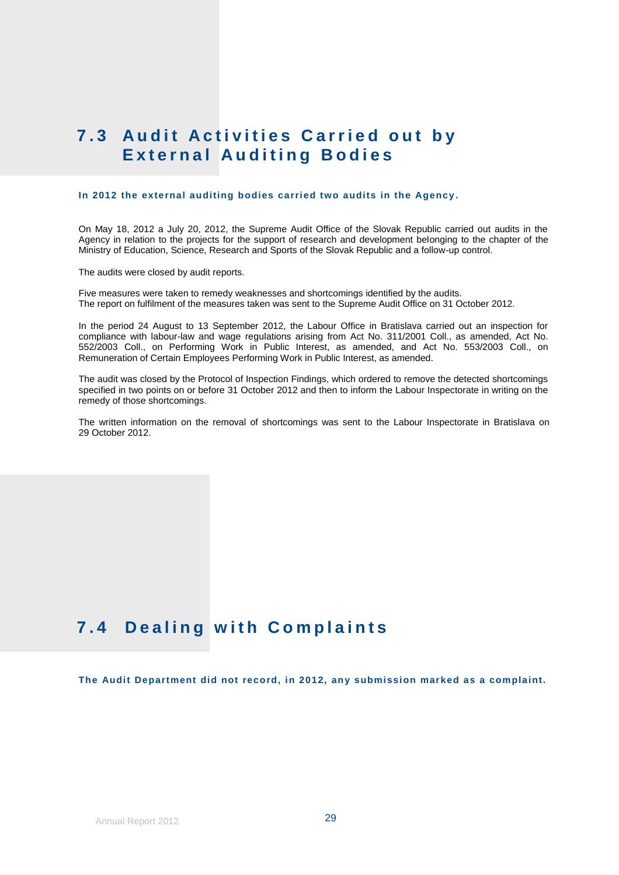### **7.3 A u d i t A c t i v i t i e s C a r r i e d o u t b y External Auditing Bodies**

#### **In 2012 the external auditing bodies carried two audits in the Agency .**

On May 18, 2012 a July 20, 2012, the Supreme Audit Office of the Slovak Republic carried out audits in the Agency in relation to the projects for the support of research and development belonging to the chapter of the Ministry of Education, Science, Research and Sports of the Slovak Republic and a follow-up control.

The audits were closed by audit reports.

Five measures were taken to remedy weaknesses and shortcomings identified by the audits. The report on fulfilment of the measures taken was sent to the Supreme Audit Office on 31 October 2012.

In the period 24 August to 13 September 2012, the Labour Office in Bratislava carried out an inspection for compliance with labour-law and wage regulations arising from Act No. 311/2001 Coll., as amended, Act No. 552/2003 Coll., on Performing Work in Public Interest, as amended, and Act No. 553/2003 Coll., on Remuneration of Certain Employees Performing Work in Public Interest, as amended.

The audit was closed by the Protocol of Inspection Findings, which ordered to remove the detected shortcomings specified in two points on or before 31 October 2012 and then to inform the Labour Inspectorate in writing on the remedy of those shortcomings.

The written information on the removal of shortcomings was sent to the Labour Inspectorate in Bratislava on 29 October 2012.

### **7.4 Dealing with Complaints**

**The Audit Department did not record, in 2012, any submission marked as a complaint.**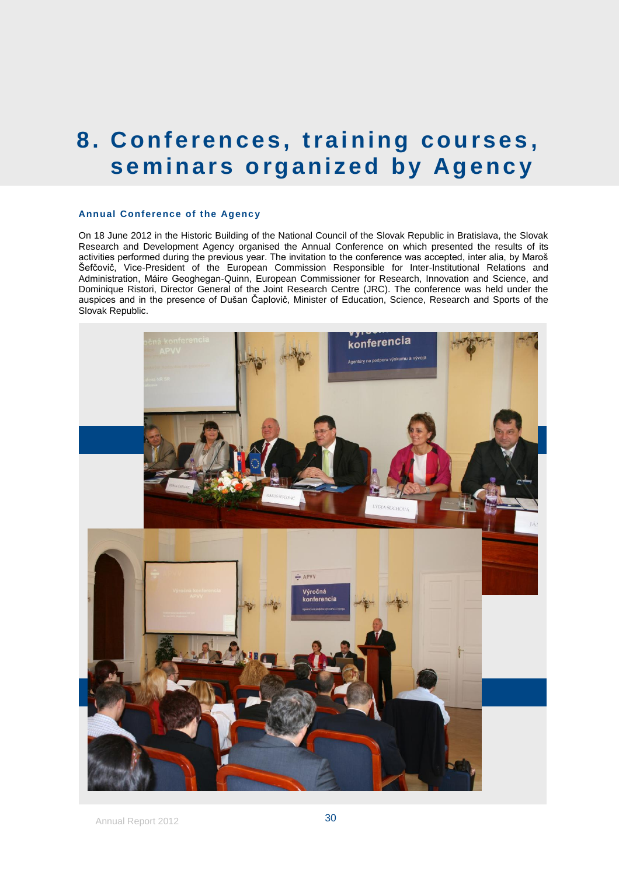# **8. Conferen ces, tra ining courses, seminars organized by Agency**

#### **Annual Conference of the Agency**

On 18 June 2012 in the Historic Building of the National Council of the Slovak Republic in Bratislava, the Slovak Research and Development Agency organised the Annual Conference on which presented the results of its activities performed during the previous year. The invitation to the conference was accepted, inter alia, by Maroš Šefčovič, Vice-President of the European Commission Responsible for Inter-Institutional Relations and Administration, Máire Geoghegan-Quinn, European Commissioner for Research, Innovation and Science, and Dominique Ristori, Director General of the Joint Research Centre (JRC). The conference was held under the auspices and in the presence of Dušan Čaplovič, Minister of Education, Science, Research and Sports of the Slovak Republic.



Annual Report 2012 **30**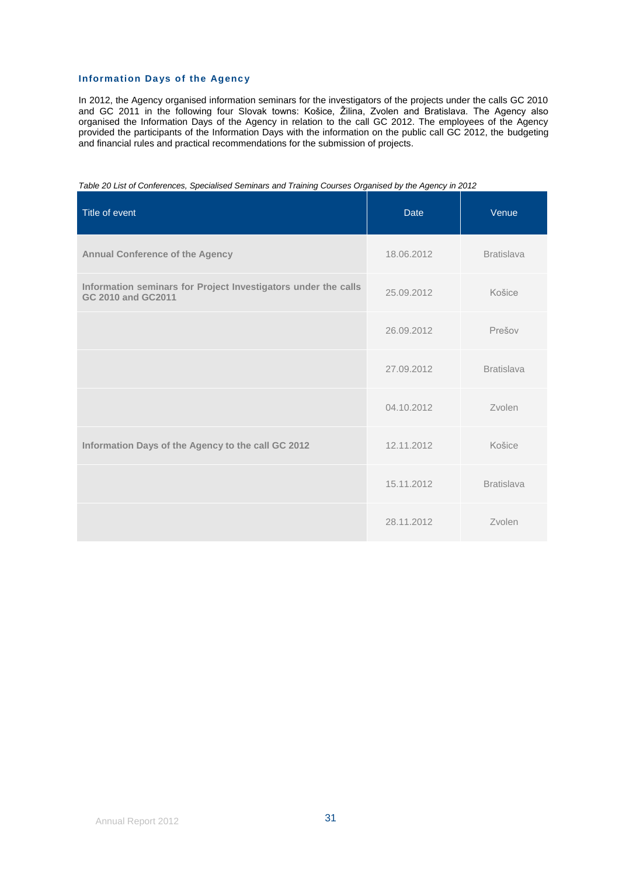#### **Information Days of the Agency**

In 2012, the Agency organised information seminars for the investigators of the projects under the calls GC 2010 and GC 2011 in the following four Slovak towns: Košice, Žilina, Zvolen and Bratislava. The Agency also organised the Information Days of the Agency in relation to the call GC 2012. The employees of the Agency provided the participants of the Information Days with the information on the public call GC 2012, the budgeting and financial rules and practical recommendations for the submission of projects.

| Title of event                                                                       | <b>Date</b> | Venue             |
|--------------------------------------------------------------------------------------|-------------|-------------------|
| <b>Annual Conference of the Agency</b>                                               | 18.06.2012  | <b>Bratislava</b> |
| Information seminars for Project Investigators under the calls<br>GC 2010 and GC2011 | 25.09.2012  | Košice            |
|                                                                                      | 26.09.2012  | Prešov            |
|                                                                                      | 27.09.2012  | <b>Bratislava</b> |
|                                                                                      | 04.10.2012  | Zvolen            |
| Information Days of the Agency to the call GC 2012                                   | 12.11.2012  | Košice            |
|                                                                                      | 15.11.2012  | <b>Bratislava</b> |
|                                                                                      | 28.11.2012  | Zvolen            |

*Table 20 List of Conferences, Specialised Seminars and Training Courses Organised by the Agency in 2012*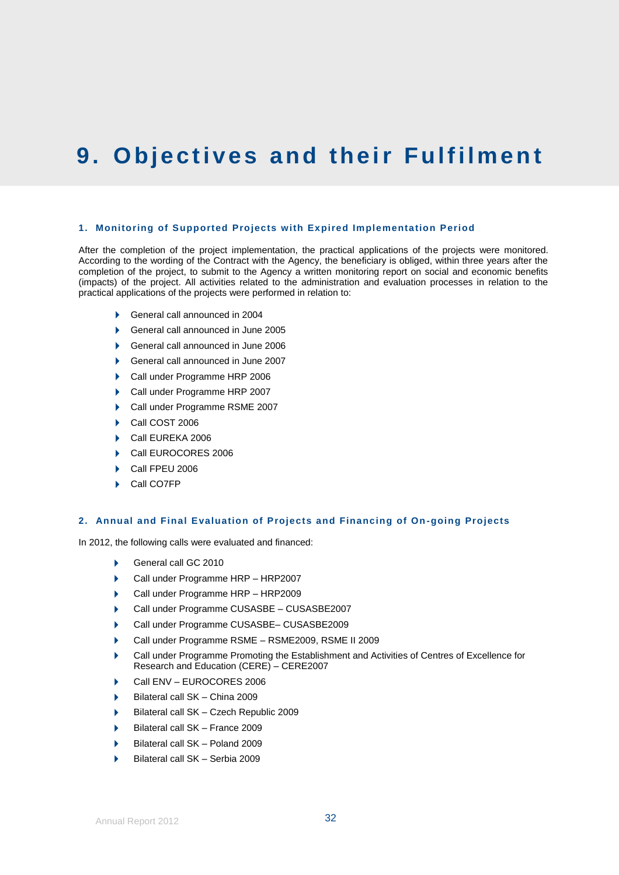# **9. Objectives and their Fulfilment**

#### **1. Monitoring of Supported Projects with Expired Implementation Period**

After the completion of the project implementation, the practical applications of the projects were monitored. According to the wording of the Contract with the Agency, the beneficiary is obliged, within three years after the completion of the project, to submit to the Agency a written monitoring report on social and economic benefits (impacts) of the project. All activities related to the administration and evaluation processes in relation to the practical applications of the projects were performed in relation to:

- General call announced in 2004
- ▶ General call announced in June 2005
- General call announced in June 2006
- ▶ General call announced in June 2007
- ▶ Call under Programme HRP 2006
- ▶ Call under Programme HRP 2007
- ▶ Call under Programme RSME 2007
- Call COST 2006
- Call EUREKA 2006
- Call EUROCORES 2006
- Call FPEU 2006
- ▶ Call CO7FP

#### **2. Annual and Final Evaluation of Projects and Financing of On-going Projects**

In 2012, the following calls were evaluated and financed:

- General call GC 2010
- ▶ Call under Programme HRP HRP2007
- ▶ Call under Programme HRP HRP2009
- ▶ Call under Programme CUSASBE CUSASBE2007
- Call under Programme CUSASBE– CUSASBE2009
- ▶ Call under Programme RSME RSME2009, RSME II 2009
- Call under Programme Promoting the Establishment and Activities of Centres of Excellence for Research and Education (CERE) – CERE2007
- Call ENV EUROCORES 2006
- Bilateral call SK China 2009
- Bilateral call SK Czech Republic 2009
- Bilateral call SK France 2009
- Bilateral call SK Poland 2009
- Bilateral call SK Serbia 2009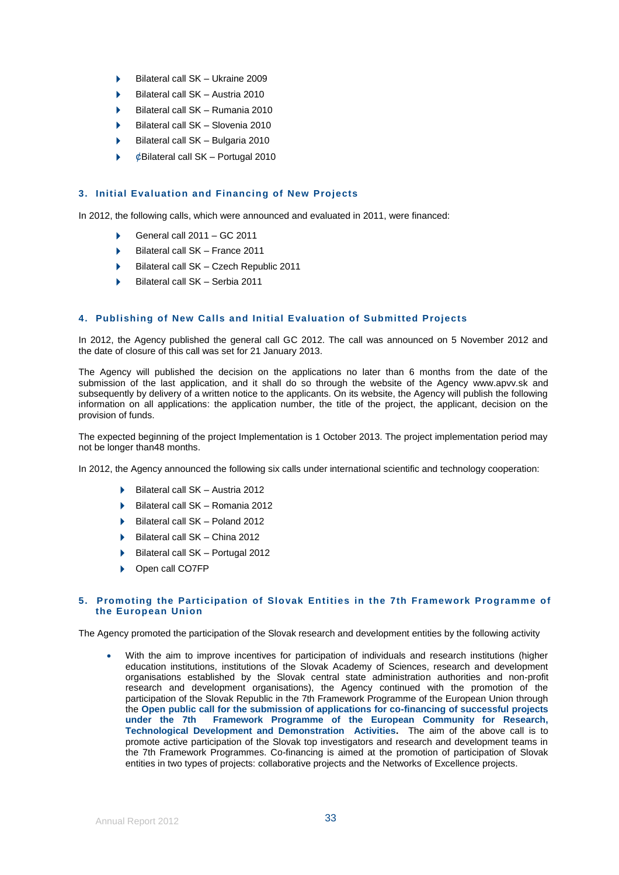- Bilateral call SK Ukraine 2009
- Bilateral call SK Austria 2010
- Bilateral call SK Rumania 2010
- Bilateral call SK Slovenia 2010
- Bilateral call SK Bulgaria 2010
- $\phi$ Bilateral call SK Portugal 2010

#### **3. Initial Evaluation and Financing of New Projects**

In 2012, the following calls, which were announced and evaluated in 2011, were financed:

- General call 2011 GC 2011
- ▶ Bilateral call SK France 2011
- Bilateral call SK Czech Republic 2011
- Bilateral call SK Serbia 2011

#### **4. Publishing of New Calls and Initial Evaluation of Submitted Projects**

In 2012, the Agency published the general call GC 2012. The call was announced on 5 November 2012 and the date of closure of this call was set for 21 January 2013.

The Agency will published the decision on the applications no later than 6 months from the date of the submission of the last application, and it shall do so through the website of the Agency [www.apvv.sk a](http://www.apvv.sk/)nd subsequently by delivery of a written notice to the applicants. On its website, the Agency will publish the following information on all applications: the application number, the title of the project, the applicant, decision on the provision of funds.

The expected beginning of the project Implementation is 1 October 2013. The project implementation period may not be longer than48 months.

In 2012, the Agency announced the following six calls under international scientific and technology cooperation:

- Bilateral call SK Austria 2012
- Bilateral call SK Romania 2012
- Bilateral call SK Poland 2012
- $\triangleright$  Bilateral call SK China 2012
- $\triangleright$  Bilateral call SK Portugal 2012
- Open call CO7FP

#### **5. Promoting the Participation of Slovak Entities in the 7th Framework Programme of the European Union**

The Agency promoted the participation of the Slovak research and development entities by the following activity

 With the aim to improve incentives for participation of individuals and research institutions (higher education institutions, institutions of the Slovak Academy of Sciences, research and development organisations established by the Slovak central state administration authorities and non-profit research and development organisations), the Agency continued with the promotion of the participation of the Slovak Republic in the 7th Framework Programme of the European Union through the **Open public call for the submission of applications for co-financing of successful projects under the 7th Framework Programme of the European Community for Research, Technological Development and Demonstration Activities.** The aim of the above call is to promote active participation of the Slovak top investigators and research and development teams in the 7th Framework Programmes. Co-financing is aimed at the promotion of participation of Slovak entities in two types of projects: collaborative projects and the Networks of Excellence projects.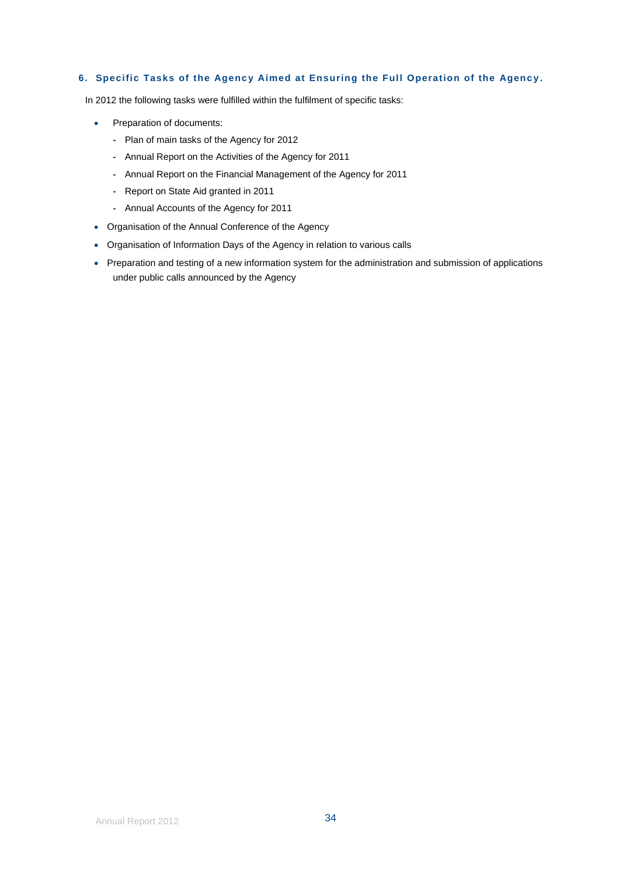#### **6. Specific Tasks of the Agency Aimed at Ensuring the Full Operation of the Agency .**

In 2012 the following tasks were fulfilled within the fulfilment of specific tasks:

- Preparation of documents:
	- **-** Plan of main tasks of the Agency for 2012
	- **-** Annual Report on the Activities of the Agency for 2011
	- **-** Annual Report on the Financial Management of the Agency for 2011
	- **-** Report on State Aid granted in 2011
	- **-** Annual Accounts of the Agency for 2011
- Organisation of the Annual Conference of the Agency
- Organisation of Information Days of the Agency in relation to various calls
- Preparation and testing of a new information system for the administration and submission of applications under public calls announced by the Agency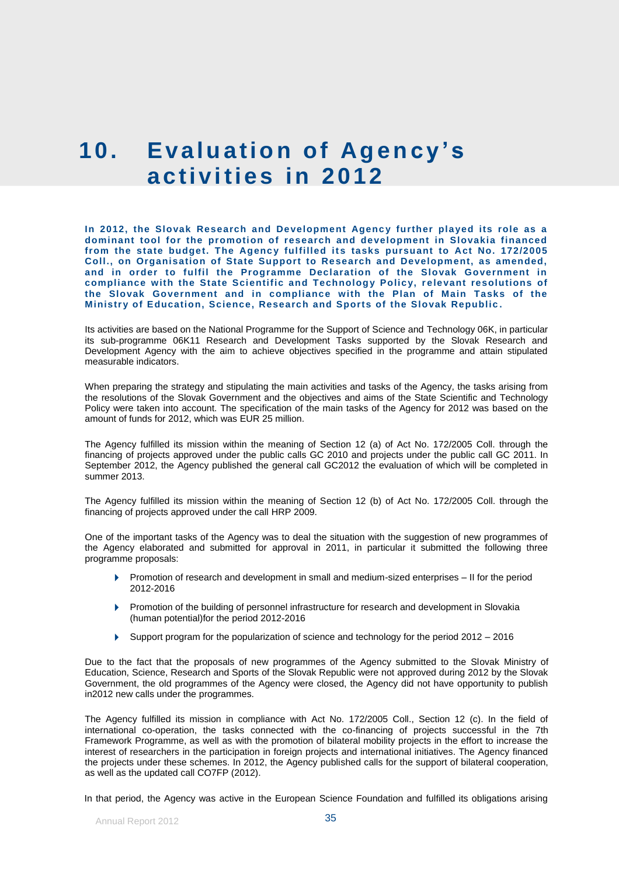# **10. Evaluation of Agency's activities in 2012**

**In 2012, the Slovak Research and Development Agency further played its role as a dominant tool for the promotion of research and development in Slovakia financed**  from the state budget. The Agency fulfilled its tasks pursuant to Act No. 172/2005 **Coll., on Organisation of State Support to Research and Development, as amended, and in order to fulfil the Programme Declaration of the Slovak Government in compliance with the State Scientific and Technology Policy, r elevant resolutions of the Slovak Government and in compliance with the Plan of Main Tasks of the Ministry of Education, Science, Research and Sports of the Slovak Republic .**

Its activities are based on the National Programme for the Support of Science and Technology 06K, in particular its sub-programme 06K11 Research and Development Tasks supported by the Slovak Research and Development Agency with the aim to achieve objectives specified in the programme and attain stipulated measurable indicators.

When preparing the strategy and stipulating the main activities and tasks of the Agency, the tasks arising from the resolutions of the Slovak Government and the objectives and aims of the State Scientific and Technology Policy were taken into account. The specification of the main tasks of the Agency for 2012 was based on the amount of funds for 2012, which was EUR 25 million.

The Agency fulfilled its mission within the meaning of Section 12 (a) of Act No. 172/2005 Coll. through the financing of projects approved under the public calls GC 2010 and projects under the public call GC 2011. In September 2012, the Agency published the general call GC2012 the evaluation of which will be completed in summer 2013.

The Agency fulfilled its mission within the meaning of Section 12 (b) of Act No. 172/2005 Coll. through the financing of projects approved under the call HRP 2009.

One of the important tasks of the Agency was to deal the situation with the suggestion of new programmes of the Agency elaborated and submitted for approval in 2011, in particular it submitted the following three programme proposals:

- **Promotion of research and development in small and medium-sized enterprises II for the period** 2012-2016
- Promotion of the building of personnel infrastructure for research and development in Slovakia (human potential)for the period 2012-2016
- Support program for the popularization of science and technology for the period 2012 2016

Due to the fact that the proposals of new programmes of the Agency submitted to the Slovak Ministry of Education, Science, Research and Sports of the Slovak Republic were not approved during 2012 by the Slovak Government, the old programmes of the Agency were closed, the Agency did not have opportunity to publish in2012 new calls under the programmes.

The Agency fulfilled its mission in compliance with Act No. 172/2005 Coll., Section 12 (c). In the field of international co-operation, the tasks connected with the co-financing of projects successful in the 7th Framework Programme, as well as with the promotion of bilateral mobility projects in the effort to increase the interest of researchers in the participation in foreign projects and international initiatives. The Agency financed the projects under these schemes. In 2012, the Agency published calls for the support of bilateral cooperation, as well as the updated call CO7FP (2012).

In that period, the Agency was active in the European Science Foundation and fulfilled its obligations arising